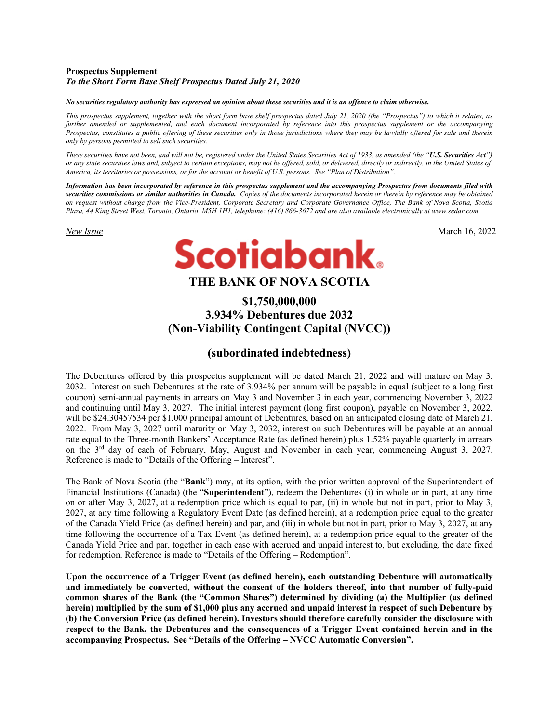# **Prospectus Supplement** *To the Short Form Base Shelf Prospectus Dated July 21, 2020*

#### *No securities regulatory authority has expressed an opinion about these securities and it is an offence to claim otherwise.*

*This prospectus supplement, together with the short form base shelf prospectus dated July 21, 2020 (the "Prospectus") to which it relates, as further amended or supplemented, and each document incorporated by reference into this prospectus supplement or the accompanying Prospectus, constitutes a public offering of these securities only in those jurisdictions where they may be lawfully offered for sale and therein only by persons permitted to sell such securities.* 

*These securities have not been, and will not be, registered under the United States Securities Act of 1933, as amended (the "U.S. Securities Act") or any state securities laws and, subject to certain exceptions, may not be offered, sold, or delivered, directly or indirectly, in the United States of America, its territories or possessions, or for the account or benefit of U.S. persons. See "Plan of Distribution".* 

*Information has been incorporated by reference in this prospectus supplement and the accompanying Prospectus from documents filed with securities commissions or similar authorities in Canada. Copies of the documents incorporated herein or therein by reference may be obtained on request without charge from the Vice-President, Corporate Secretary and Corporate Governance Office, The Bank of Nova Scotia, Scotia Plaza, 44 King Street West, Toronto, Ontario M5H 1H1, telephone: (416) 866-3672 and are also available electronically at www.sedar.com.* 



# **\$1,750,000,000 3.934% Debentures due 2032 (Non-Viability Contingent Capital (NVCC))**

# **(subordinated indebtedness)**

The Debentures offered by this prospectus supplement will be dated March 21, 2022 and will mature on May 3, 2032. Interest on such Debentures at the rate of 3.934% per annum will be payable in equal (subject to a long first coupon) semi-annual payments in arrears on May 3 and November 3 in each year, commencing November 3, 2022 and continuing until May 3, 2027. The initial interest payment (long first coupon), payable on November 3, 2022, will be \$24.30457534 per \$1,000 principal amount of Debentures, based on an anticipated closing date of March 21, 2022. From May 3, 2027 until maturity on May 3, 2032, interest on such Debentures will be payable at an annual rate equal to the Three-month Bankers' Acceptance Rate (as defined herein) plus 1.52% payable quarterly in arrears on the 3rd day of each of February, May, August and November in each year, commencing August 3, 2027. Reference is made to "Details of the Offering – Interest".

The Bank of Nova Scotia (the "**Bank**") may, at its option, with the prior written approval of the Superintendent of Financial Institutions (Canada) (the "**Superintendent**"), redeem the Debentures (i) in whole or in part, at any time on or after May 3, 2027, at a redemption price which is equal to par, (ii) in whole but not in part, prior to May 3, 2027, at any time following a Regulatory Event Date (as defined herein), at a redemption price equal to the greater of the Canada Yield Price (as defined herein) and par, and (iii) in whole but not in part, prior to May 3, 2027, at any time following the occurrence of a Tax Event (as defined herein), at a redemption price equal to the greater of the Canada Yield Price and par, together in each case with accrued and unpaid interest to, but excluding, the date fixed for redemption. Reference is made to "Details of the Offering – Redemption".

**Upon the occurrence of a Trigger Event (as defined herein), each outstanding Debenture will automatically and immediately be converted, without the consent of the holders thereof, into that number of fully-paid common shares of the Bank (the "Common Shares") determined by dividing (a) the Multiplier (as defined herein) multiplied by the sum of \$1,000 plus any accrued and unpaid interest in respect of such Debenture by (b) the Conversion Price (as defined herein). Investors should therefore carefully consider the disclosure with respect to the Bank, the Debentures and the consequences of a Trigger Event contained herein and in the accompanying Prospectus. See "Details of the Offering – NVCC Automatic Conversion".**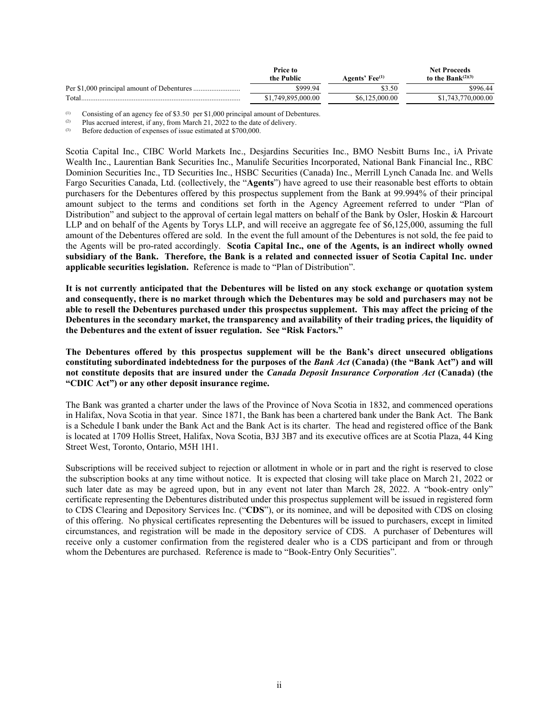|       | Price to<br>the Public | Agents' Fee <sup>(1)</sup> | <b>Net Proceeds</b><br>to the Bank $^{(2)(3)}$ |
|-------|------------------------|----------------------------|------------------------------------------------|
|       | \$999.94               | \$3.50                     | \$996.44                                       |
| Total | \$1,749,895,000.00     | \$6,125,000.00             | \$1,743,770,000.00                             |

<sup>(1)</sup> Consisting of an agency fee of \$3.50 per \$1,000 principal amount of Debentures.<br><sup>(2)</sup> Plus accrued interest, if any, from March 21, 2022 to the date of delivery.<br>Before deduction of expenses of issue estimated at \$7

Scotia Capital Inc., CIBC World Markets Inc., Desjardins Securities Inc., BMO Nesbitt Burns Inc., iA Private Wealth Inc., Laurentian Bank Securities Inc., Manulife Securities Incorporated, National Bank Financial Inc., RBC Dominion Securities Inc., TD Securities Inc., HSBC Securities (Canada) Inc., Merrill Lynch Canada Inc. and Wells Fargo Securities Canada, Ltd. (collectively, the "**Agents**") have agreed to use their reasonable best efforts to obtain purchasers for the Debentures offered by this prospectus supplement from the Bank at 99.994% of their principal amount subject to the terms and conditions set forth in the Agency Agreement referred to under "Plan of Distribution" and subject to the approval of certain legal matters on behalf of the Bank by Osler, Hoskin & Harcourt LLP and on behalf of the Agents by Torys LLP, and will receive an aggregate fee of \$6,125,000, assuming the full amount of the Debentures offered are sold. In the event the full amount of the Debentures is not sold, the fee paid to the Agents will be pro-rated accordingly. **Scotia Capital Inc., one of the Agents, is an indirect wholly owned subsidiary of the Bank. Therefore, the Bank is a related and connected issuer of Scotia Capital Inc. under applicable securities legislation.** Reference is made to "Plan of Distribution".

**It is not currently anticipated that the Debentures will be listed on any stock exchange or quotation system and consequently, there is no market through which the Debentures may be sold and purchasers may not be able to resell the Debentures purchased under this prospectus supplement. This may affect the pricing of the Debentures in the secondary market, the transparency and availability of their trading prices, the liquidity of the Debentures and the extent of issuer regulation. See "Risk Factors."** 

**The Debentures offered by this prospectus supplement will be the Bank's direct unsecured obligations constituting subordinated indebtedness for the purposes of the** *Bank Act* **(Canada) (the "Bank Act") and will not constitute deposits that are insured under the** *Canada Deposit Insurance Corporation Act* **(Canada) (the "CDIC Act") or any other deposit insurance regime.** 

The Bank was granted a charter under the laws of the Province of Nova Scotia in 1832, and commenced operations in Halifax, Nova Scotia in that year. Since 1871, the Bank has been a chartered bank under the Bank Act. The Bank is a Schedule I bank under the Bank Act and the Bank Act is its charter. The head and registered office of the Bank is located at 1709 Hollis Street, Halifax, Nova Scotia, B3J 3B7 and its executive offices are at Scotia Plaza, 44 King Street West, Toronto, Ontario, M5H 1H1.

Subscriptions will be received subject to rejection or allotment in whole or in part and the right is reserved to close the subscription books at any time without notice. It is expected that closing will take place on March 21, 2022 or such later date as may be agreed upon, but in any event not later than March 28, 2022. A "book-entry only" certificate representing the Debentures distributed under this prospectus supplement will be issued in registered form to CDS Clearing and Depository Services Inc. ("**CDS**"), or its nominee, and will be deposited with CDS on closing of this offering. No physical certificates representing the Debentures will be issued to purchasers, except in limited circumstances, and registration will be made in the depository service of CDS. A purchaser of Debentures will receive only a customer confirmation from the registered dealer who is a CDS participant and from or through whom the Debentures are purchased. Reference is made to "Book-Entry Only Securities".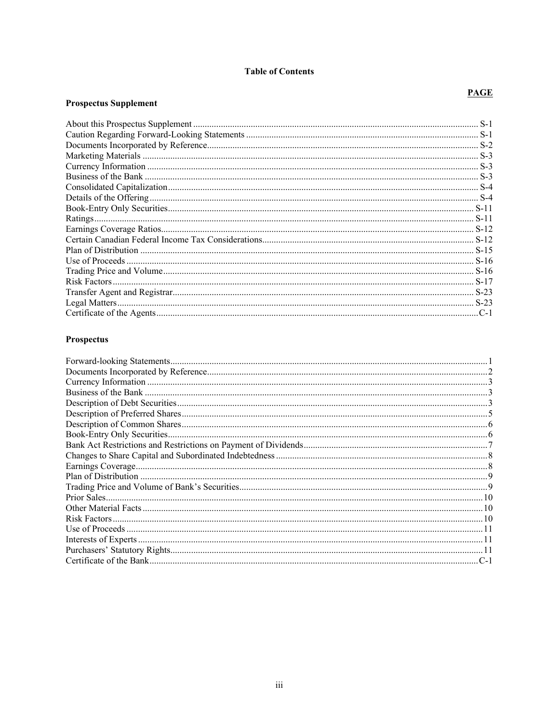# **Table of Contents**

# **Prospectus Supplement**

| $S-23$ |
|--------|
| .S-23  |
|        |
|        |

# Prospectus

# **PAGE**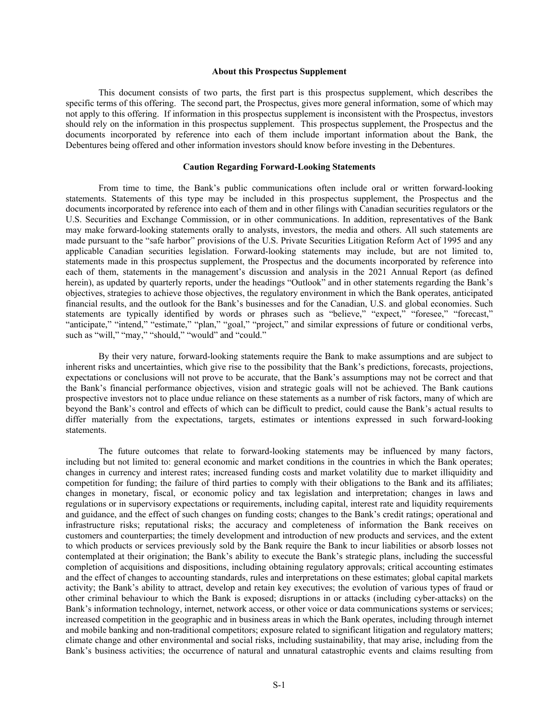#### **About this Prospectus Supplement**

This document consists of two parts, the first part is this prospectus supplement, which describes the specific terms of this offering. The second part, the Prospectus, gives more general information, some of which may not apply to this offering. If information in this prospectus supplement is inconsistent with the Prospectus, investors should rely on the information in this prospectus supplement. This prospectus supplement, the Prospectus and the documents incorporated by reference into each of them include important information about the Bank, the Debentures being offered and other information investors should know before investing in the Debentures.

## **Caution Regarding Forward-Looking Statements**

From time to time, the Bank's public communications often include oral or written forward-looking statements. Statements of this type may be included in this prospectus supplement, the Prospectus and the documents incorporated by reference into each of them and in other filings with Canadian securities regulators or the U.S. Securities and Exchange Commission, or in other communications. In addition, representatives of the Bank may make forward-looking statements orally to analysts, investors, the media and others. All such statements are made pursuant to the "safe harbor" provisions of the U.S. Private Securities Litigation Reform Act of 1995 and any applicable Canadian securities legislation. Forward-looking statements may include, but are not limited to, statements made in this prospectus supplement, the Prospectus and the documents incorporated by reference into each of them, statements in the management's discussion and analysis in the 2021 Annual Report (as defined herein), as updated by quarterly reports, under the headings "Outlook" and in other statements regarding the Bank's objectives, strategies to achieve those objectives, the regulatory environment in which the Bank operates, anticipated financial results, and the outlook for the Bank's businesses and for the Canadian, U.S. and global economies. Such statements are typically identified by words or phrases such as "believe," "expect," "foresee," "forecast," "anticipate," "intend," "estimate," "plan," "goal," "project," and similar expressions of future or conditional verbs, such as "will," "may," "should," "would" and "could."

By their very nature, forward-looking statements require the Bank to make assumptions and are subject to inherent risks and uncertainties, which give rise to the possibility that the Bank's predictions, forecasts, projections, expectations or conclusions will not prove to be accurate, that the Bank's assumptions may not be correct and that the Bank's financial performance objectives, vision and strategic goals will not be achieved. The Bank cautions prospective investors not to place undue reliance on these statements as a number of risk factors, many of which are beyond the Bank's control and effects of which can be difficult to predict, could cause the Bank's actual results to differ materially from the expectations, targets, estimates or intentions expressed in such forward-looking statements.

The future outcomes that relate to forward-looking statements may be influenced by many factors, including but not limited to: general economic and market conditions in the countries in which the Bank operates; changes in currency and interest rates; increased funding costs and market volatility due to market illiquidity and competition for funding; the failure of third parties to comply with their obligations to the Bank and its affiliates; changes in monetary, fiscal, or economic policy and tax legislation and interpretation; changes in laws and regulations or in supervisory expectations or requirements, including capital, interest rate and liquidity requirements and guidance, and the effect of such changes on funding costs; changes to the Bank's credit ratings; operational and infrastructure risks; reputational risks; the accuracy and completeness of information the Bank receives on customers and counterparties; the timely development and introduction of new products and services, and the extent to which products or services previously sold by the Bank require the Bank to incur liabilities or absorb losses not contemplated at their origination; the Bank's ability to execute the Bank's strategic plans, including the successful completion of acquisitions and dispositions, including obtaining regulatory approvals; critical accounting estimates and the effect of changes to accounting standards, rules and interpretations on these estimates; global capital markets activity; the Bank's ability to attract, develop and retain key executives; the evolution of various types of fraud or other criminal behaviour to which the Bank is exposed; disruptions in or attacks (including cyber-attacks) on the Bank's information technology, internet, network access, or other voice or data communications systems or services; increased competition in the geographic and in business areas in which the Bank operates, including through internet and mobile banking and non-traditional competitors; exposure related to significant litigation and regulatory matters; climate change and other environmental and social risks, including sustainability, that may arise, including from the Bank's business activities; the occurrence of natural and unnatural catastrophic events and claims resulting from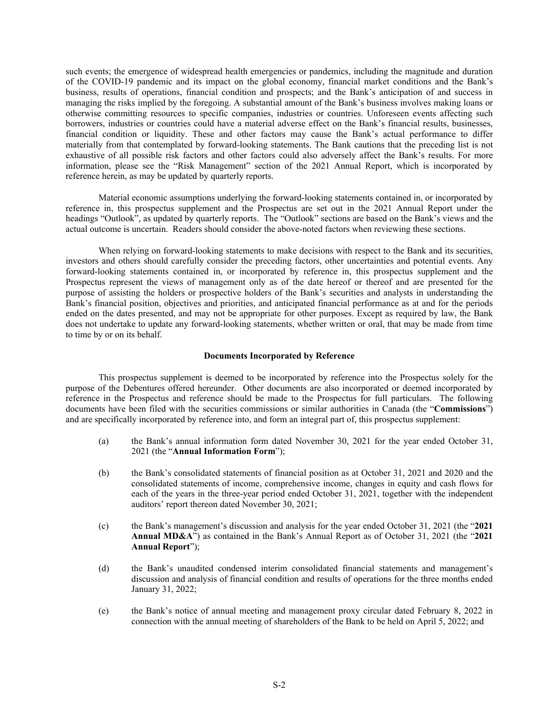such events; the emergence of widespread health emergencies or pandemics, including the magnitude and duration of the COVID-19 pandemic and its impact on the global economy, financial market conditions and the Bank's business, results of operations, financial condition and prospects; and the Bank's anticipation of and success in managing the risks implied by the foregoing. A substantial amount of the Bank's business involves making loans or otherwise committing resources to specific companies, industries or countries. Unforeseen events affecting such borrowers, industries or countries could have a material adverse effect on the Bank's financial results, businesses, financial condition or liquidity. These and other factors may cause the Bank's actual performance to differ materially from that contemplated by forward-looking statements. The Bank cautions that the preceding list is not exhaustive of all possible risk factors and other factors could also adversely affect the Bank's results. For more information, please see the "Risk Management" section of the 2021 Annual Report, which is incorporated by reference herein, as may be updated by quarterly reports.

Material economic assumptions underlying the forward-looking statements contained in, or incorporated by reference in, this prospectus supplement and the Prospectus are set out in the 2021 Annual Report under the headings "Outlook", as updated by quarterly reports. The "Outlook" sections are based on the Bank's views and the actual outcome is uncertain. Readers should consider the above-noted factors when reviewing these sections.

When relying on forward-looking statements to make decisions with respect to the Bank and its securities, investors and others should carefully consider the preceding factors, other uncertainties and potential events. Any forward-looking statements contained in, or incorporated by reference in, this prospectus supplement and the Prospectus represent the views of management only as of the date hereof or thereof and are presented for the purpose of assisting the holders or prospective holders of the Bank's securities and analysts in understanding the Bank's financial position, objectives and priorities, and anticipated financial performance as at and for the periods ended on the dates presented, and may not be appropriate for other purposes. Except as required by law, the Bank does not undertake to update any forward-looking statements, whether written or oral, that may be made from time to time by or on its behalf.

## **Documents Incorporated by Reference**

This prospectus supplement is deemed to be incorporated by reference into the Prospectus solely for the purpose of the Debentures offered hereunder. Other documents are also incorporated or deemed incorporated by reference in the Prospectus and reference should be made to the Prospectus for full particulars. The following documents have been filed with the securities commissions or similar authorities in Canada (the "**Commissions**") and are specifically incorporated by reference into, and form an integral part of, this prospectus supplement:

- (a) the Bank's annual information form dated November 30, 2021 for the year ended October 31, 2021 (the "**Annual Information Form**");
- (b) the Bank's consolidated statements of financial position as at October 31, 2021 and 2020 and the consolidated statements of income, comprehensive income, changes in equity and cash flows for each of the years in the three-year period ended October 31, 2021, together with the independent auditors' report thereon dated November 30, 2021;
- (c) the Bank's management's discussion and analysis for the year ended October 31, 2021 (the "**2021 Annual MD&A**") as contained in the Bank's Annual Report as of October 31, 2021 (the "**2021 Annual Report**");
- (d) the Bank's unaudited condensed interim consolidated financial statements and management's discussion and analysis of financial condition and results of operations for the three months ended January 31, 2022;
- (e) the Bank's notice of annual meeting and management proxy circular dated February 8, 2022 in connection with the annual meeting of shareholders of the Bank to be held on April 5, 2022; and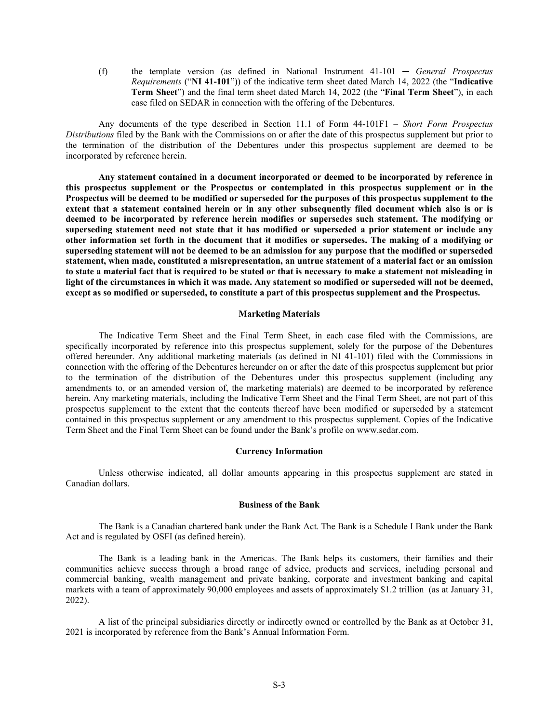(f) the template version (as defined in National Instrument 41-101 ─ *General Prospectus Requirements* ("**NI 41-101**")) of the indicative term sheet dated March 14, 2022 (the "**Indicative Term Sheet**") and the final term sheet dated March 14, 2022 (the "**Final Term Sheet**"), in each case filed on SEDAR in connection with the offering of the Debentures.

Any documents of the type described in Section 11.1 of Form 44-101F1 – *Short Form Prospectus Distributions* filed by the Bank with the Commissions on or after the date of this prospectus supplement but prior to the termination of the distribution of the Debentures under this prospectus supplement are deemed to be incorporated by reference herein.

**Any statement contained in a document incorporated or deemed to be incorporated by reference in this prospectus supplement or the Prospectus or contemplated in this prospectus supplement or in the Prospectus will be deemed to be modified or superseded for the purposes of this prospectus supplement to the extent that a statement contained herein or in any other subsequently filed document which also is or is deemed to be incorporated by reference herein modifies or supersedes such statement. The modifying or superseding statement need not state that it has modified or superseded a prior statement or include any other information set forth in the document that it modifies or supersedes. The making of a modifying or superseding statement will not be deemed to be an admission for any purpose that the modified or superseded statement, when made, constituted a misrepresentation, an untrue statement of a material fact or an omission to state a material fact that is required to be stated or that is necessary to make a statement not misleading in light of the circumstances in which it was made. Any statement so modified or superseded will not be deemed, except as so modified or superseded, to constitute a part of this prospectus supplement and the Prospectus.** 

## **Marketing Materials**

The Indicative Term Sheet and the Final Term Sheet, in each case filed with the Commissions, are specifically incorporated by reference into this prospectus supplement, solely for the purpose of the Debentures offered hereunder. Any additional marketing materials (as defined in NI 41-101) filed with the Commissions in connection with the offering of the Debentures hereunder on or after the date of this prospectus supplement but prior to the termination of the distribution of the Debentures under this prospectus supplement (including any amendments to, or an amended version of, the marketing materials) are deemed to be incorporated by reference herein. Any marketing materials, including the Indicative Term Sheet and the Final Term Sheet, are not part of this prospectus supplement to the extent that the contents thereof have been modified or superseded by a statement contained in this prospectus supplement or any amendment to this prospectus supplement. Copies of the Indicative Term Sheet and the Final Term Sheet can be found under the Bank's profile on www.sedar.com.

#### **Currency Information**

Unless otherwise indicated, all dollar amounts appearing in this prospectus supplement are stated in Canadian dollars.

#### **Business of the Bank**

The Bank is a Canadian chartered bank under the Bank Act. The Bank is a Schedule I Bank under the Bank Act and is regulated by OSFI (as defined herein).

The Bank is a leading bank in the Americas. The Bank helps its customers, their families and their communities achieve success through a broad range of advice, products and services, including personal and commercial banking, wealth management and private banking, corporate and investment banking and capital markets with a team of approximately 90,000 employees and assets of approximately \$1.2 trillion (as at January 31, 2022).

A list of the principal subsidiaries directly or indirectly owned or controlled by the Bank as at October 31, 2021 is incorporated by reference from the Bank's Annual Information Form.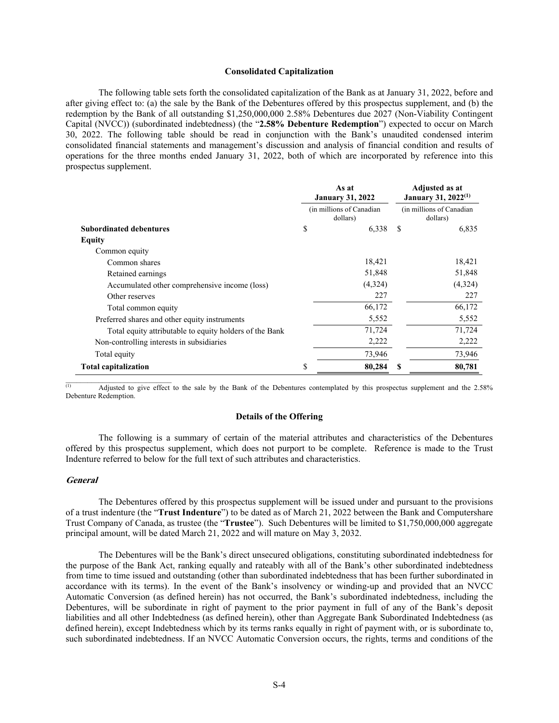## **Consolidated Capitalization**

The following table sets forth the consolidated capitalization of the Bank as at January 31, 2022, before and after giving effect to: (a) the sale by the Bank of the Debentures offered by this prospectus supplement, and (b) the redemption by the Bank of all outstanding \$1,250,000,000 2.58% Debentures due 2027 (Non-Viability Contingent Capital (NVCC)) (subordinated indebtedness) (the "**2.58% Debenture Redemption**") expected to occur on March 30, 2022. The following table should be read in conjunction with the Bank's unaudited condensed interim consolidated financial statements and management's discussion and analysis of financial condition and results of operations for the three months ended January 31, 2022, both of which are incorporated by reference into this prospectus supplement.

|                                                         | As at<br><b>January 31, 2022</b> |                                      | Adjusted as at<br><b>January 31, 2022</b> <sup>(1)</sup> |                                      |  |
|---------------------------------------------------------|----------------------------------|--------------------------------------|----------------------------------------------------------|--------------------------------------|--|
| <b>Subordinated debentures</b>                          |                                  | (in millions of Canadian<br>dollars) |                                                          | (in millions of Canadian<br>dollars) |  |
|                                                         |                                  | 6,338                                | -S                                                       | 6,835                                |  |
| <b>Equity</b>                                           |                                  |                                      |                                                          |                                      |  |
| Common equity                                           |                                  |                                      |                                                          |                                      |  |
| Common shares                                           |                                  | 18,421                               |                                                          | 18,421                               |  |
| Retained earnings                                       |                                  | 51,848                               |                                                          | 51,848                               |  |
| Accumulated other comprehensive income (loss)           |                                  | (4,324)                              |                                                          | (4,324)                              |  |
| Other reserves                                          |                                  | 227                                  |                                                          | 227                                  |  |
| Total common equity                                     |                                  | 66,172                               |                                                          | 66,172                               |  |
| Preferred shares and other equity instruments           |                                  | 5,552                                |                                                          | 5,552                                |  |
| Total equity attributable to equity holders of the Bank |                                  | 71,724                               |                                                          | 71,724                               |  |
| Non-controlling interests in subsidiaries               |                                  | 2,222                                |                                                          | 2,222                                |  |
| Total equity                                            |                                  | 73,946                               |                                                          | 73,946                               |  |
| <b>Total capitalization</b>                             | \$                               | 80,284                               | S                                                        | 80,781                               |  |

 $\overline{1}$ <sup>(1)</sup> Adjusted to give effect to the sale by the Bank of the Debentures contemplated by this prospectus supplement and the 2.58% Debenture Redemption.

## **Details of the Offering**

The following is a summary of certain of the material attributes and characteristics of the Debentures offered by this prospectus supplement, which does not purport to be complete. Reference is made to the Trust Indenture referred to below for the full text of such attributes and characteristics.

#### **General**

\_\_\_\_\_\_\_\_\_\_\_\_\_\_\_\_\_\_\_\_\_\_\_\_\_\_\_\_\_

The Debentures offered by this prospectus supplement will be issued under and pursuant to the provisions of a trust indenture (the "**Trust Indenture**") to be dated as of March 21, 2022 between the Bank and Computershare Trust Company of Canada, as trustee (the "**Trustee**"). Such Debentures will be limited to \$1,750,000,000 aggregate principal amount, will be dated March 21, 2022 and will mature on May 3, 2032.

The Debentures will be the Bank's direct unsecured obligations, constituting subordinated indebtedness for the purpose of the Bank Act, ranking equally and rateably with all of the Bank's other subordinated indebtedness from time to time issued and outstanding (other than subordinated indebtedness that has been further subordinated in accordance with its terms). In the event of the Bank's insolvency or winding-up and provided that an NVCC Automatic Conversion (as defined herein) has not occurred, the Bank's subordinated indebtedness, including the Debentures, will be subordinate in right of payment to the prior payment in full of any of the Bank's deposit liabilities and all other Indebtedness (as defined herein), other than Aggregate Bank Subordinated Indebtedness (as defined herein), except Indebtedness which by its terms ranks equally in right of payment with, or is subordinate to, such subordinated indebtedness. If an NVCC Automatic Conversion occurs, the rights, terms and conditions of the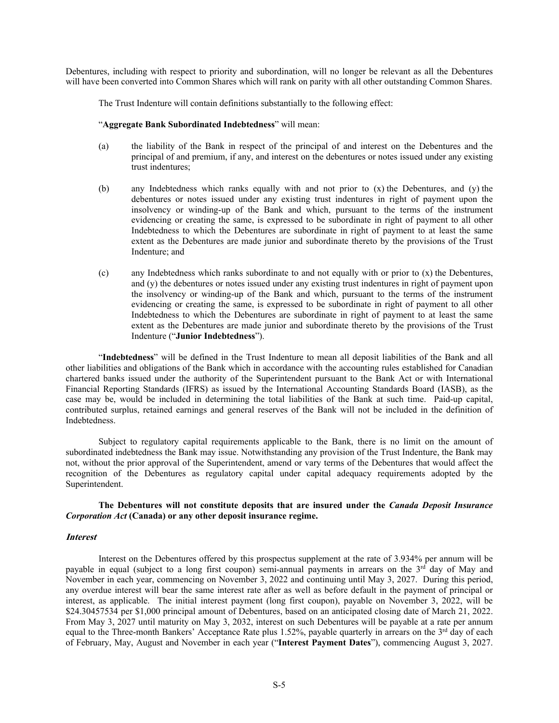Debentures, including with respect to priority and subordination, will no longer be relevant as all the Debentures will have been converted into Common Shares which will rank on parity with all other outstanding Common Shares.

The Trust Indenture will contain definitions substantially to the following effect:

# "**Aggregate Bank Subordinated Indebtedness**" will mean:

- (a) the liability of the Bank in respect of the principal of and interest on the Debentures and the principal of and premium, if any, and interest on the debentures or notes issued under any existing trust indentures;
- (b) any Indebtedness which ranks equally with and not prior to (x) the Debentures, and (y) the debentures or notes issued under any existing trust indentures in right of payment upon the insolvency or winding-up of the Bank and which, pursuant to the terms of the instrument evidencing or creating the same, is expressed to be subordinate in right of payment to all other Indebtedness to which the Debentures are subordinate in right of payment to at least the same extent as the Debentures are made junior and subordinate thereto by the provisions of the Trust Indenture; and
- (c) any Indebtedness which ranks subordinate to and not equally with or prior to (x) the Debentures, and (y) the debentures or notes issued under any existing trust indentures in right of payment upon the insolvency or winding-up of the Bank and which, pursuant to the terms of the instrument evidencing or creating the same, is expressed to be subordinate in right of payment to all other Indebtedness to which the Debentures are subordinate in right of payment to at least the same extent as the Debentures are made junior and subordinate thereto by the provisions of the Trust Indenture ("**Junior Indebtedness**").

"**Indebtedness**" will be defined in the Trust Indenture to mean all deposit liabilities of the Bank and all other liabilities and obligations of the Bank which in accordance with the accounting rules established for Canadian chartered banks issued under the authority of the Superintendent pursuant to the Bank Act or with International Financial Reporting Standards (IFRS) as issued by the International Accounting Standards Board (IASB), as the case may be, would be included in determining the total liabilities of the Bank at such time. Paid-up capital, contributed surplus, retained earnings and general reserves of the Bank will not be included in the definition of Indebtedness.

Subject to regulatory capital requirements applicable to the Bank, there is no limit on the amount of subordinated indebtedness the Bank may issue. Notwithstanding any provision of the Trust Indenture, the Bank may not, without the prior approval of the Superintendent, amend or vary terms of the Debentures that would affect the recognition of the Debentures as regulatory capital under capital adequacy requirements adopted by the Superintendent.

**The Debentures will not constitute deposits that are insured under the** *Canada Deposit Insurance Corporation Act* **(Canada) or any other deposit insurance regime.**

### **Interest**

Interest on the Debentures offered by this prospectus supplement at the rate of 3.934% per annum will be payable in equal (subject to a long first coupon) semi-annual payments in arrears on the 3<sup>rd</sup> day of May and November in each year, commencing on November 3, 2022 and continuing until May 3, 2027. During this period, any overdue interest will bear the same interest rate after as well as before default in the payment of principal or interest, as applicable. The initial interest payment (long first coupon), payable on November 3, 2022, will be \$24.30457534 per \$1,000 principal amount of Debentures, based on an anticipated closing date of March 21, 2022. From May 3, 2027 until maturity on May 3, 2032, interest on such Debentures will be payable at a rate per annum equal to the Three-month Bankers' Acceptance Rate plus 1.52%, payable quarterly in arrears on the 3<sup>rd</sup> day of each of February, May, August and November in each year ("**Interest Payment Dates**"), commencing August 3, 2027.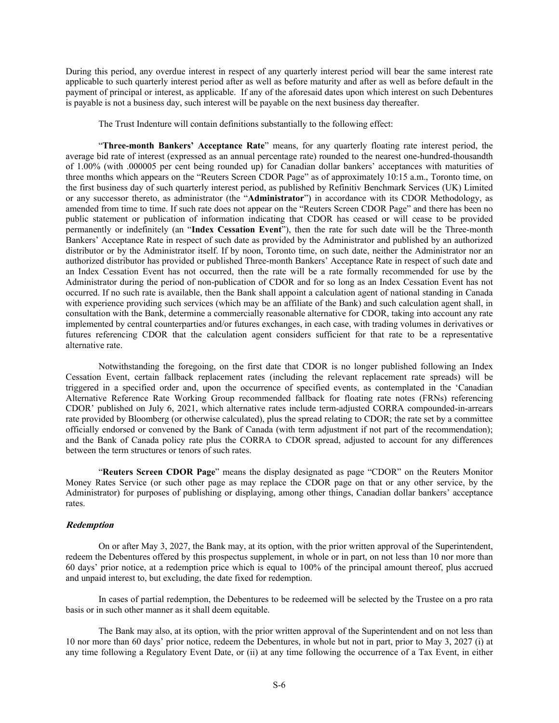During this period, any overdue interest in respect of any quarterly interest period will bear the same interest rate applicable to such quarterly interest period after as well as before maturity and after as well as before default in the payment of principal or interest, as applicable. If any of the aforesaid dates upon which interest on such Debentures is payable is not a business day, such interest will be payable on the next business day thereafter.

The Trust Indenture will contain definitions substantially to the following effect:

"**Three-month Bankers' Acceptance Rate**" means, for any quarterly floating rate interest period, the average bid rate of interest (expressed as an annual percentage rate) rounded to the nearest one-hundred-thousandth of 1.00% (with .000005 per cent being rounded up) for Canadian dollar bankers' acceptances with maturities of three months which appears on the "Reuters Screen CDOR Page" as of approximately 10:15 a.m., Toronto time, on the first business day of such quarterly interest period, as published by Refinitiv Benchmark Services (UK) Limited or any successor thereto, as administrator (the "**Administrator**") in accordance with its CDOR Methodology, as amended from time to time. If such rate does not appear on the "Reuters Screen CDOR Page" and there has been no public statement or publication of information indicating that CDOR has ceased or will cease to be provided permanently or indefinitely (an "**Index Cessation Event**"), then the rate for such date will be the Three-month Bankers' Acceptance Rate in respect of such date as provided by the Administrator and published by an authorized distributor or by the Administrator itself. If by noon, Toronto time, on such date, neither the Administrator nor an authorized distributor has provided or published Three-month Bankers' Acceptance Rate in respect of such date and an Index Cessation Event has not occurred, then the rate will be a rate formally recommended for use by the Administrator during the period of non-publication of CDOR and for so long as an Index Cessation Event has not occurred. If no such rate is available, then the Bank shall appoint a calculation agent of national standing in Canada with experience providing such services (which may be an affiliate of the Bank) and such calculation agent shall, in consultation with the Bank, determine a commercially reasonable alternative for CDOR, taking into account any rate implemented by central counterparties and/or futures exchanges, in each case, with trading volumes in derivatives or futures referencing CDOR that the calculation agent considers sufficient for that rate to be a representative alternative rate.

Notwithstanding the foregoing, on the first date that CDOR is no longer published following an Index Cessation Event, certain fallback replacement rates (including the relevant replacement rate spreads) will be triggered in a specified order and, upon the occurrence of specified events, as contemplated in the 'Canadian Alternative Reference Rate Working Group recommended fallback for floating rate notes (FRNs) referencing CDOR' published on July 6, 2021, which alternative rates include term-adjusted CORRA compounded-in-arrears rate provided by Bloomberg (or otherwise calculated), plus the spread relating to CDOR; the rate set by a committee officially endorsed or convened by the Bank of Canada (with term adjustment if not part of the recommendation); and the Bank of Canada policy rate plus the CORRA to CDOR spread, adjusted to account for any differences between the term structures or tenors of such rates.

"**Reuters Screen CDOR Page**" means the display designated as page "CDOR" on the Reuters Monitor Money Rates Service (or such other page as may replace the CDOR page on that or any other service, by the Administrator) for purposes of publishing or displaying, among other things, Canadian dollar bankers' acceptance rates.

## **Redemption**

On or after May 3, 2027, the Bank may, at its option, with the prior written approval of the Superintendent, redeem the Debentures offered by this prospectus supplement, in whole or in part, on not less than 10 nor more than 60 days' prior notice, at a redemption price which is equal to 100% of the principal amount thereof, plus accrued and unpaid interest to, but excluding, the date fixed for redemption.

In cases of partial redemption, the Debentures to be redeemed will be selected by the Trustee on a pro rata basis or in such other manner as it shall deem equitable.

The Bank may also, at its option, with the prior written approval of the Superintendent and on not less than 10 nor more than 60 days' prior notice, redeem the Debentures, in whole but not in part, prior to May 3, 2027 (i) at any time following a Regulatory Event Date, or (ii) at any time following the occurrence of a Tax Event, in either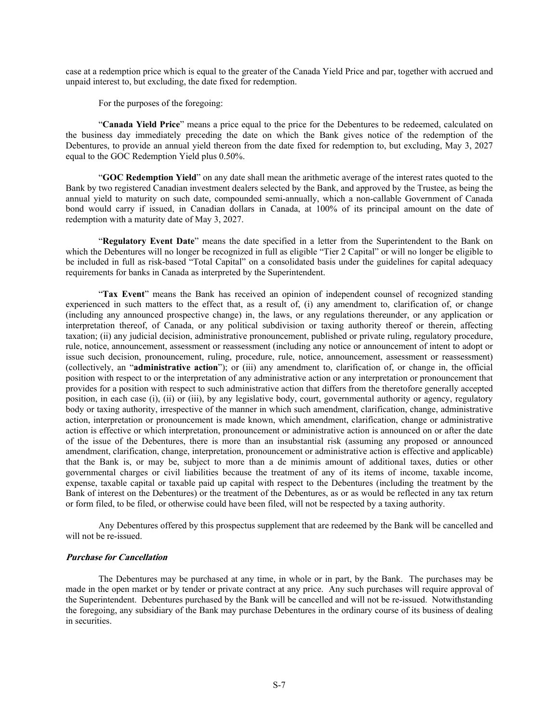case at a redemption price which is equal to the greater of the Canada Yield Price and par, together with accrued and unpaid interest to, but excluding, the date fixed for redemption.

For the purposes of the foregoing:

"**Canada Yield Price**" means a price equal to the price for the Debentures to be redeemed, calculated on the business day immediately preceding the date on which the Bank gives notice of the redemption of the Debentures, to provide an annual yield thereon from the date fixed for redemption to, but excluding, May 3, 2027 equal to the GOC Redemption Yield plus 0.50%.

"**GOC Redemption Yield**" on any date shall mean the arithmetic average of the interest rates quoted to the Bank by two registered Canadian investment dealers selected by the Bank, and approved by the Trustee, as being the annual yield to maturity on such date, compounded semi-annually, which a non-callable Government of Canada bond would carry if issued, in Canadian dollars in Canada, at 100% of its principal amount on the date of redemption with a maturity date of May 3, 2027.

"**Regulatory Event Date**" means the date specified in a letter from the Superintendent to the Bank on which the Debentures will no longer be recognized in full as eligible "Tier 2 Capital" or will no longer be eligible to be included in full as risk-based "Total Capital" on a consolidated basis under the guidelines for capital adequacy requirements for banks in Canada as interpreted by the Superintendent.

"**Tax Event**" means the Bank has received an opinion of independent counsel of recognized standing experienced in such matters to the effect that, as a result of, (i) any amendment to, clarification of, or change (including any announced prospective change) in, the laws, or any regulations thereunder, or any application or interpretation thereof, of Canada, or any political subdivision or taxing authority thereof or therein, affecting taxation; (ii) any judicial decision, administrative pronouncement, published or private ruling, regulatory procedure, rule, notice, announcement, assessment or reassessment (including any notice or announcement of intent to adopt or issue such decision, pronouncement, ruling, procedure, rule, notice, announcement, assessment or reassessment) (collectively, an "**administrative action**"); or (iii) any amendment to, clarification of, or change in, the official position with respect to or the interpretation of any administrative action or any interpretation or pronouncement that provides for a position with respect to such administrative action that differs from the theretofore generally accepted position, in each case (i), (ii) or (iii), by any legislative body, court, governmental authority or agency, regulatory body or taxing authority, irrespective of the manner in which such amendment, clarification, change, administrative action, interpretation or pronouncement is made known, which amendment, clarification, change or administrative action is effective or which interpretation, pronouncement or administrative action is announced on or after the date of the issue of the Debentures, there is more than an insubstantial risk (assuming any proposed or announced amendment, clarification, change, interpretation, pronouncement or administrative action is effective and applicable) that the Bank is, or may be, subject to more than a de minimis amount of additional taxes, duties or other governmental charges or civil liabilities because the treatment of any of its items of income, taxable income, expense, taxable capital or taxable paid up capital with respect to the Debentures (including the treatment by the Bank of interest on the Debentures) or the treatment of the Debentures, as or as would be reflected in any tax return or form filed, to be filed, or otherwise could have been filed, will not be respected by a taxing authority.

Any Debentures offered by this prospectus supplement that are redeemed by the Bank will be cancelled and will not be re-issued.

# **Purchase for Cancellation**

The Debentures may be purchased at any time, in whole or in part, by the Bank. The purchases may be made in the open market or by tender or private contract at any price. Any such purchases will require approval of the Superintendent. Debentures purchased by the Bank will be cancelled and will not be re-issued. Notwithstanding the foregoing, any subsidiary of the Bank may purchase Debentures in the ordinary course of its business of dealing in securities.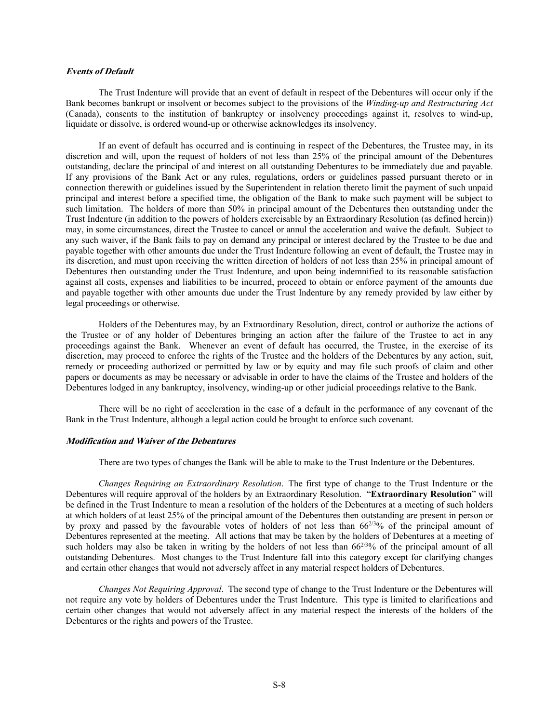## **Events of Default**

The Trust Indenture will provide that an event of default in respect of the Debentures will occur only if the Bank becomes bankrupt or insolvent or becomes subject to the provisions of the *Winding-up and Restructuring Act* (Canada), consents to the institution of bankruptcy or insolvency proceedings against it, resolves to wind-up, liquidate or dissolve, is ordered wound-up or otherwise acknowledges its insolvency.

If an event of default has occurred and is continuing in respect of the Debentures, the Trustee may, in its discretion and will, upon the request of holders of not less than 25% of the principal amount of the Debentures outstanding, declare the principal of and interest on all outstanding Debentures to be immediately due and payable. If any provisions of the Bank Act or any rules, regulations, orders or guidelines passed pursuant thereto or in connection therewith or guidelines issued by the Superintendent in relation thereto limit the payment of such unpaid principal and interest before a specified time, the obligation of the Bank to make such payment will be subject to such limitation. The holders of more than 50% in principal amount of the Debentures then outstanding under the Trust Indenture (in addition to the powers of holders exercisable by an Extraordinary Resolution (as defined herein)) may, in some circumstances, direct the Trustee to cancel or annul the acceleration and waive the default. Subject to any such waiver, if the Bank fails to pay on demand any principal or interest declared by the Trustee to be due and payable together with other amounts due under the Trust Indenture following an event of default, the Trustee may in its discretion, and must upon receiving the written direction of holders of not less than 25% in principal amount of Debentures then outstanding under the Trust Indenture, and upon being indemnified to its reasonable satisfaction against all costs, expenses and liabilities to be incurred, proceed to obtain or enforce payment of the amounts due and payable together with other amounts due under the Trust Indenture by any remedy provided by law either by legal proceedings or otherwise.

Holders of the Debentures may, by an Extraordinary Resolution, direct, control or authorize the actions of the Trustee or of any holder of Debentures bringing an action after the failure of the Trustee to act in any proceedings against the Bank. Whenever an event of default has occurred, the Trustee, in the exercise of its discretion, may proceed to enforce the rights of the Trustee and the holders of the Debentures by any action, suit, remedy or proceeding authorized or permitted by law or by equity and may file such proofs of claim and other papers or documents as may be necessary or advisable in order to have the claims of the Trustee and holders of the Debentures lodged in any bankruptcy, insolvency, winding-up or other judicial proceedings relative to the Bank.

There will be no right of acceleration in the case of a default in the performance of any covenant of the Bank in the Trust Indenture, although a legal action could be brought to enforce such covenant.

#### **Modification and Waiver of the Debentures**

There are two types of changes the Bank will be able to make to the Trust Indenture or the Debentures.

*Changes Requiring an Extraordinary Resolution*. The first type of change to the Trust Indenture or the Debentures will require approval of the holders by an Extraordinary Resolution. "**Extraordinary Resolution**" will be defined in the Trust Indenture to mean a resolution of the holders of the Debentures at a meeting of such holders at which holders of at least 25% of the principal amount of the Debentures then outstanding are present in person or by proxy and passed by the favourable votes of holders of not less than 662/3% of the principal amount of Debentures represented at the meeting. All actions that may be taken by the holders of Debentures at a meeting of such holders may also be taken in writing by the holders of not less than  $66^{2/3}\%$  of the principal amount of all outstanding Debentures. Most changes to the Trust Indenture fall into this category except for clarifying changes and certain other changes that would not adversely affect in any material respect holders of Debentures.

*Changes Not Requiring Approval*. The second type of change to the Trust Indenture or the Debentures will not require any vote by holders of Debentures under the Trust Indenture. This type is limited to clarifications and certain other changes that would not adversely affect in any material respect the interests of the holders of the Debentures or the rights and powers of the Trustee.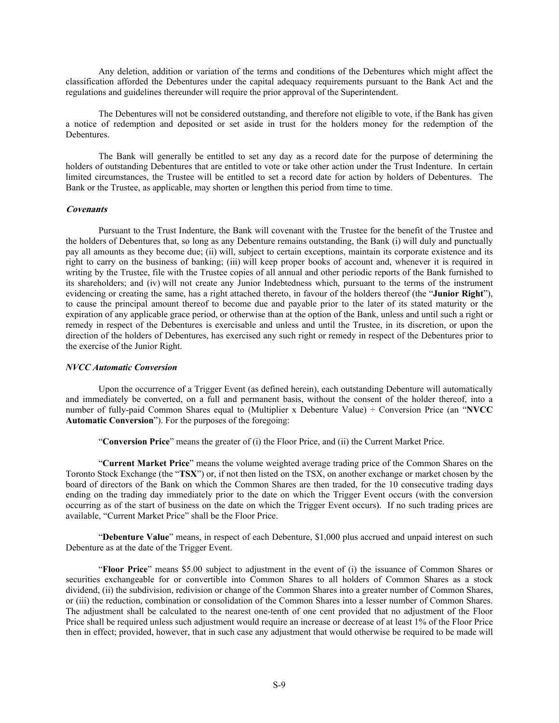Any deletion, addition or variation of the terms and conditions of the Debentures which might affect the classification afforded the Debentures under the capital adequacy requirements pursuant to the Bank Act and the regulations and guidelines thereunder will require the prior approval of the Superintendent.

The Debentures will not be considered outstanding, and therefore not eligible to vote, if the Bank has given a notice of redemption and deposited or set aside in trust for the holders money for the redemption of the Debentures.

The Bank will generally be entitled to set any day as a record date for the purpose of determining the holders of outstanding Debentures that are entitled to vote or take other action under the Trust Indenture. In certain limited circumstances, the Trustee will be entitled to set a record date for action by holders of Debentures. The Bank or the Trustee, as applicable, may shorten or lengthen this period from time to time.

### **Covenants**

Pursuant to the Trust Indenture, the Bank will covenant with the Trustee for the benefit of the Trustee and the holders of Debentures that, so long as any Debenture remains outstanding, the Bank (i) will duly and punctually pay all amounts as they become due; (ii) will, subject to certain exceptions, maintain its corporate existence and its right to carry on the business of banking; (iii) will keep proper books of account and, whenever it is required in writing by the Trustee, file with the Trustee copies of all annual and other periodic reports of the Bank furnished to its shareholders; and (iv) will not create any Junior Indebtedness which, pursuant to the terms of the instrument evidencing or creating the same, has a right attached thereto, in favour of the holders thereof (the "**Junior Right**"), to cause the principal amount thereof to become due and payable prior to the later of its stated maturity or the expiration of any applicable grace period, or otherwise than at the option of the Bank, unless and until such a right or remedy in respect of the Debentures is exercisable and unless and until the Trustee, in its discretion, or upon the direction of the holders of Debentures, has exercised any such right or remedy in respect of the Debentures prior to the exercise of the Junior Right.

## *NVCC Automatic Conversion*

Upon the occurrence of a Trigger Event (as defined herein), each outstanding Debenture will automatically and immediately be converted, on a full and permanent basis, without the consent of the holder thereof, into a number of fully-paid Common Shares equal to (Multiplier x Debenture Value) ÷ Conversion Price (an "**NVCC Automatic Conversion**"). For the purposes of the foregoing:

"**Conversion Price**" means the greater of (i) the Floor Price, and (ii) the Current Market Price.

"**Current Market Price**" means the volume weighted average trading price of the Common Shares on the Toronto Stock Exchange (the "**TSX**") or, if not then listed on the TSX, on another exchange or market chosen by the board of directors of the Bank on which the Common Shares are then traded, for the 10 consecutive trading days ending on the trading day immediately prior to the date on which the Trigger Event occurs (with the conversion occurring as of the start of business on the date on which the Trigger Event occurs). If no such trading prices are available, "Current Market Price" shall be the Floor Price.

"**Debenture Value**" means, in respect of each Debenture, \$1,000 plus accrued and unpaid interest on such Debenture as at the date of the Trigger Event.

"**Floor Price**" means \$5.00 subject to adjustment in the event of (i) the issuance of Common Shares or securities exchangeable for or convertible into Common Shares to all holders of Common Shares as a stock dividend, (ii) the subdivision, redivision or change of the Common Shares into a greater number of Common Shares, or (iii) the reduction, combination or consolidation of the Common Shares into a lesser number of Common Shares. The adjustment shall be calculated to the nearest one-tenth of one cent provided that no adjustment of the Floor Price shall be required unless such adjustment would require an increase or decrease of at least 1% of the Floor Price then in effect; provided, however, that in such case any adjustment that would otherwise be required to be made will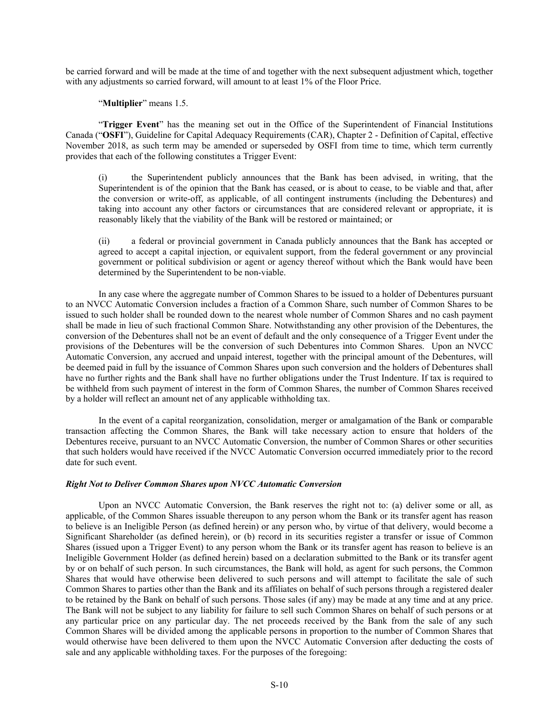be carried forward and will be made at the time of and together with the next subsequent adjustment which, together with any adjustments so carried forward, will amount to at least 1% of the Floor Price.

"**Multiplier**" means 1.5.

"**Trigger Event**" has the meaning set out in the Office of the Superintendent of Financial Institutions Canada ("**OSFI**"), Guideline for Capital Adequacy Requirements (CAR), Chapter 2 - Definition of Capital, effective November 2018, as such term may be amended or superseded by OSFI from time to time, which term currently provides that each of the following constitutes a Trigger Event:

(i) the Superintendent publicly announces that the Bank has been advised, in writing, that the Superintendent is of the opinion that the Bank has ceased, or is about to cease, to be viable and that, after the conversion or write-off, as applicable, of all contingent instruments (including the Debentures) and taking into account any other factors or circumstances that are considered relevant or appropriate, it is reasonably likely that the viability of the Bank will be restored or maintained; or

(ii) a federal or provincial government in Canada publicly announces that the Bank has accepted or agreed to accept a capital injection, or equivalent support, from the federal government or any provincial government or political subdivision or agent or agency thereof without which the Bank would have been determined by the Superintendent to be non-viable.

In any case where the aggregate number of Common Shares to be issued to a holder of Debentures pursuant to an NVCC Automatic Conversion includes a fraction of a Common Share, such number of Common Shares to be issued to such holder shall be rounded down to the nearest whole number of Common Shares and no cash payment shall be made in lieu of such fractional Common Share. Notwithstanding any other provision of the Debentures, the conversion of the Debentures shall not be an event of default and the only consequence of a Trigger Event under the provisions of the Debentures will be the conversion of such Debentures into Common Shares. Upon an NVCC Automatic Conversion, any accrued and unpaid interest, together with the principal amount of the Debentures, will be deemed paid in full by the issuance of Common Shares upon such conversion and the holders of Debentures shall have no further rights and the Bank shall have no further obligations under the Trust Indenture. If tax is required to be withheld from such payment of interest in the form of Common Shares, the number of Common Shares received by a holder will reflect an amount net of any applicable withholding tax.

In the event of a capital reorganization, consolidation, merger or amalgamation of the Bank or comparable transaction affecting the Common Shares, the Bank will take necessary action to ensure that holders of the Debentures receive, pursuant to an NVCC Automatic Conversion, the number of Common Shares or other securities that such holders would have received if the NVCC Automatic Conversion occurred immediately prior to the record date for such event.

# *Right Not to Deliver Common Shares upon NVCC Automatic Conversion*

 Upon an NVCC Automatic Conversion, the Bank reserves the right not to: (a) deliver some or all, as applicable, of the Common Shares issuable thereupon to any person whom the Bank or its transfer agent has reason to believe is an Ineligible Person (as defined herein) or any person who, by virtue of that delivery, would become a Significant Shareholder (as defined herein), or (b) record in its securities register a transfer or issue of Common Shares (issued upon a Trigger Event) to any person whom the Bank or its transfer agent has reason to believe is an Ineligible Government Holder (as defined herein) based on a declaration submitted to the Bank or its transfer agent by or on behalf of such person. In such circumstances, the Bank will hold, as agent for such persons, the Common Shares that would have otherwise been delivered to such persons and will attempt to facilitate the sale of such Common Shares to parties other than the Bank and its affiliates on behalf of such persons through a registered dealer to be retained by the Bank on behalf of such persons. Those sales (if any) may be made at any time and at any price. The Bank will not be subject to any liability for failure to sell such Common Shares on behalf of such persons or at any particular price on any particular day. The net proceeds received by the Bank from the sale of any such Common Shares will be divided among the applicable persons in proportion to the number of Common Shares that would otherwise have been delivered to them upon the NVCC Automatic Conversion after deducting the costs of sale and any applicable withholding taxes. For the purposes of the foregoing: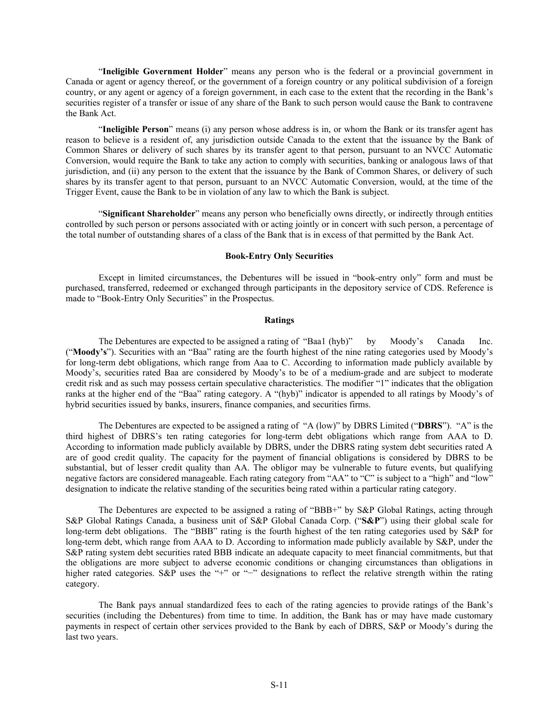"**Ineligible Government Holder**" means any person who is the federal or a provincial government in Canada or agent or agency thereof, or the government of a foreign country or any political subdivision of a foreign country, or any agent or agency of a foreign government, in each case to the extent that the recording in the Bank's securities register of a transfer or issue of any share of the Bank to such person would cause the Bank to contravene the Bank Act.

"**Ineligible Person**" means (i) any person whose address is in, or whom the Bank or its transfer agent has reason to believe is a resident of, any jurisdiction outside Canada to the extent that the issuance by the Bank of Common Shares or delivery of such shares by its transfer agent to that person, pursuant to an NVCC Automatic Conversion, would require the Bank to take any action to comply with securities, banking or analogous laws of that jurisdiction, and (ii) any person to the extent that the issuance by the Bank of Common Shares, or delivery of such shares by its transfer agent to that person, pursuant to an NVCC Automatic Conversion, would, at the time of the Trigger Event, cause the Bank to be in violation of any law to which the Bank is subject.

"**Significant Shareholder**" means any person who beneficially owns directly, or indirectly through entities controlled by such person or persons associated with or acting jointly or in concert with such person, a percentage of the total number of outstanding shares of a class of the Bank that is in excess of that permitted by the Bank Act.

## **Book-Entry Only Securities**

Except in limited circumstances, the Debentures will be issued in "book-entry only" form and must be purchased, transferred, redeemed or exchanged through participants in the depository service of CDS. Reference is made to "Book-Entry Only Securities" in the Prospectus.

#### **Ratings**

The Debentures are expected to be assigned a rating of "Baa1 (hyb)" by Moody's Canada Inc. ("**Moody's**"). Securities with an "Baa" rating are the fourth highest of the nine rating categories used by Moody's for long-term debt obligations, which range from Aaa to C. According to information made publicly available by Moody's, securities rated Baa are considered by Moody's to be of a medium-grade and are subject to moderate credit risk and as such may possess certain speculative characteristics. The modifier "1" indicates that the obligation ranks at the higher end of the "Baa" rating category. A "(hyb)" indicator is appended to all ratings by Moody's of hybrid securities issued by banks, insurers, finance companies, and securities firms.

The Debentures are expected to be assigned a rating of "A (low)" by DBRS Limited ("**DBRS**"). "A" is the third highest of DBRS's ten rating categories for long-term debt obligations which range from AAA to D. According to information made publicly available by DBRS, under the DBRS rating system debt securities rated A are of good credit quality. The capacity for the payment of financial obligations is considered by DBRS to be substantial, but of lesser credit quality than AA. The obligor may be vulnerable to future events, but qualifying negative factors are considered manageable. Each rating category from "AA" to "C" is subject to a "high" and "low" designation to indicate the relative standing of the securities being rated within a particular rating category.

The Debentures are expected to be assigned a rating of "BBB+" by S&P Global Ratings, acting through S&P Global Ratings Canada, a business unit of S&P Global Canada Corp. ("**S&P**") using their global scale for long-term debt obligations. The "BBB" rating is the fourth highest of the ten rating categories used by S&P for long-term debt, which range from AAA to D. According to information made publicly available by S&P, under the S&P rating system debt securities rated BBB indicate an adequate capacity to meet financial commitments, but that the obligations are more subject to adverse economic conditions or changing circumstances than obligations in higher rated categories. S&P uses the "+" or "−" designations to reflect the relative strength within the rating category.

The Bank pays annual standardized fees to each of the rating agencies to provide ratings of the Bank's securities (including the Debentures) from time to time. In addition, the Bank has or may have made customary payments in respect of certain other services provided to the Bank by each of DBRS, S&P or Moody's during the last two years.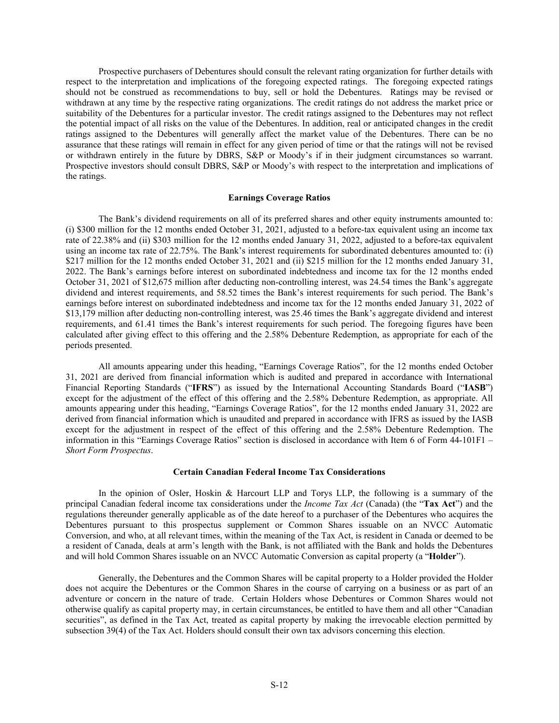Prospective purchasers of Debentures should consult the relevant rating organization for further details with respect to the interpretation and implications of the foregoing expected ratings. The foregoing expected ratings should not be construed as recommendations to buy, sell or hold the Debentures. Ratings may be revised or withdrawn at any time by the respective rating organizations. The credit ratings do not address the market price or suitability of the Debentures for a particular investor. The credit ratings assigned to the Debentures may not reflect the potential impact of all risks on the value of the Debentures. In addition, real or anticipated changes in the credit ratings assigned to the Debentures will generally affect the market value of the Debentures. There can be no assurance that these ratings will remain in effect for any given period of time or that the ratings will not be revised or withdrawn entirely in the future by DBRS, S&P or Moody's if in their judgment circumstances so warrant. Prospective investors should consult DBRS, S&P or Moody's with respect to the interpretation and implications of the ratings.

#### **Earnings Coverage Ratios**

 The Bank's dividend requirements on all of its preferred shares and other equity instruments amounted to: (i) \$300 million for the 12 months ended October 31, 2021, adjusted to a before-tax equivalent using an income tax rate of 22.38% and (ii) \$303 million for the 12 months ended January 31, 2022, adjusted to a before-tax equivalent using an income tax rate of 22.75%. The Bank's interest requirements for subordinated debentures amounted to: (i) \$217 million for the 12 months ended October 31, 2021 and (ii) \$215 million for the 12 months ended January 31, 2022. The Bank's earnings before interest on subordinated indebtedness and income tax for the 12 months ended October 31, 2021 of \$12,675 million after deducting non-controlling interest, was 24.54 times the Bank's aggregate dividend and interest requirements, and 58.52 times the Bank's interest requirements for such period. The Bank's earnings before interest on subordinated indebtedness and income tax for the 12 months ended January 31, 2022 of \$13,179 million after deducting non-controlling interest, was 25.46 times the Bank's aggregate dividend and interest requirements, and 61.41 times the Bank's interest requirements for such period. The foregoing figures have been calculated after giving effect to this offering and the 2.58% Debenture Redemption, as appropriate for each of the periods presented.

All amounts appearing under this heading, "Earnings Coverage Ratios", for the 12 months ended October 31, 2021 are derived from financial information which is audited and prepared in accordance with International Financial Reporting Standards ("**IFRS**") as issued by the International Accounting Standards Board ("**IASB**") except for the adjustment of the effect of this offering and the 2.58% Debenture Redemption, as appropriate. All amounts appearing under this heading, "Earnings Coverage Ratios", for the 12 months ended January 31, 2022 are derived from financial information which is unaudited and prepared in accordance with IFRS as issued by the IASB except for the adjustment in respect of the effect of this offering and the 2.58% Debenture Redemption. The information in this "Earnings Coverage Ratios" section is disclosed in accordance with Item 6 of Form 44-101F1 – *Short Form Prospectus*.

### **Certain Canadian Federal Income Tax Considerations**

In the opinion of Osler, Hoskin & Harcourt LLP and Torys LLP, the following is a summary of the principal Canadian federal income tax considerations under the *Income Tax Act* (Canada) (the "**Tax Act**") and the regulations thereunder generally applicable as of the date hereof to a purchaser of the Debentures who acquires the Debentures pursuant to this prospectus supplement or Common Shares issuable on an NVCC Automatic Conversion, and who, at all relevant times, within the meaning of the Tax Act, is resident in Canada or deemed to be a resident of Canada, deals at arm's length with the Bank, is not affiliated with the Bank and holds the Debentures and will hold Common Shares issuable on an NVCC Automatic Conversion as capital property (a "**Holder**").

Generally, the Debentures and the Common Shares will be capital property to a Holder provided the Holder does not acquire the Debentures or the Common Shares in the course of carrying on a business or as part of an adventure or concern in the nature of trade. Certain Holders whose Debentures or Common Shares would not otherwise qualify as capital property may, in certain circumstances, be entitled to have them and all other "Canadian securities", as defined in the Tax Act, treated as capital property by making the irrevocable election permitted by subsection 39(4) of the Tax Act. Holders should consult their own tax advisors concerning this election.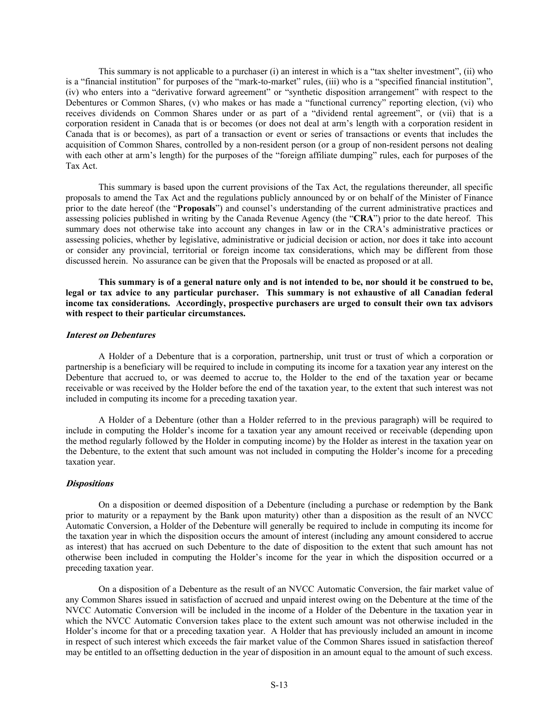This summary is not applicable to a purchaser (i) an interest in which is a "tax shelter investment", (ii) who is a "financial institution" for purposes of the "mark-to-market" rules, (iii) who is a "specified financial institution", (iv) who enters into a "derivative forward agreement" or "synthetic disposition arrangement" with respect to the Debentures or Common Shares, (v) who makes or has made a "functional currency" reporting election, (vi) who receives dividends on Common Shares under or as part of a "dividend rental agreement", or (vii) that is a corporation resident in Canada that is or becomes (or does not deal at arm's length with a corporation resident in Canada that is or becomes), as part of a transaction or event or series of transactions or events that includes the acquisition of Common Shares, controlled by a non-resident person (or a group of non-resident persons not dealing with each other at arm's length) for the purposes of the "foreign affiliate dumping" rules, each for purposes of the Tax Act.

This summary is based upon the current provisions of the Tax Act, the regulations thereunder, all specific proposals to amend the Tax Act and the regulations publicly announced by or on behalf of the Minister of Finance prior to the date hereof (the "**Proposals**") and counsel's understanding of the current administrative practices and assessing policies published in writing by the Canada Revenue Agency (the "**CRA**") prior to the date hereof. This summary does not otherwise take into account any changes in law or in the CRA's administrative practices or assessing policies, whether by legislative, administrative or judicial decision or action, nor does it take into account or consider any provincial, territorial or foreign income tax considerations, which may be different from those discussed herein. No assurance can be given that the Proposals will be enacted as proposed or at all.

**This summary is of a general nature only and is not intended to be, nor should it be construed to be, legal or tax advice to any particular purchaser. This summary is not exhaustive of all Canadian federal income tax considerations. Accordingly, prospective purchasers are urged to consult their own tax advisors with respect to their particular circumstances.** 

## **Interest on Debentures**

A Holder of a Debenture that is a corporation, partnership, unit trust or trust of which a corporation or partnership is a beneficiary will be required to include in computing its income for a taxation year any interest on the Debenture that accrued to, or was deemed to accrue to, the Holder to the end of the taxation year or became receivable or was received by the Holder before the end of the taxation year, to the extent that such interest was not included in computing its income for a preceding taxation year.

A Holder of a Debenture (other than a Holder referred to in the previous paragraph) will be required to include in computing the Holder's income for a taxation year any amount received or receivable (depending upon the method regularly followed by the Holder in computing income) by the Holder as interest in the taxation year on the Debenture, to the extent that such amount was not included in computing the Holder's income for a preceding taxation year.

## **Dispositions**

On a disposition or deemed disposition of a Debenture (including a purchase or redemption by the Bank prior to maturity or a repayment by the Bank upon maturity) other than a disposition as the result of an NVCC Automatic Conversion, a Holder of the Debenture will generally be required to include in computing its income for the taxation year in which the disposition occurs the amount of interest (including any amount considered to accrue as interest) that has accrued on such Debenture to the date of disposition to the extent that such amount has not otherwise been included in computing the Holder's income for the year in which the disposition occurred or a preceding taxation year.

On a disposition of a Debenture as the result of an NVCC Automatic Conversion, the fair market value of any Common Shares issued in satisfaction of accrued and unpaid interest owing on the Debenture at the time of the NVCC Automatic Conversion will be included in the income of a Holder of the Debenture in the taxation year in which the NVCC Automatic Conversion takes place to the extent such amount was not otherwise included in the Holder's income for that or a preceding taxation year. A Holder that has previously included an amount in income in respect of such interest which exceeds the fair market value of the Common Shares issued in satisfaction thereof may be entitled to an offsetting deduction in the year of disposition in an amount equal to the amount of such excess.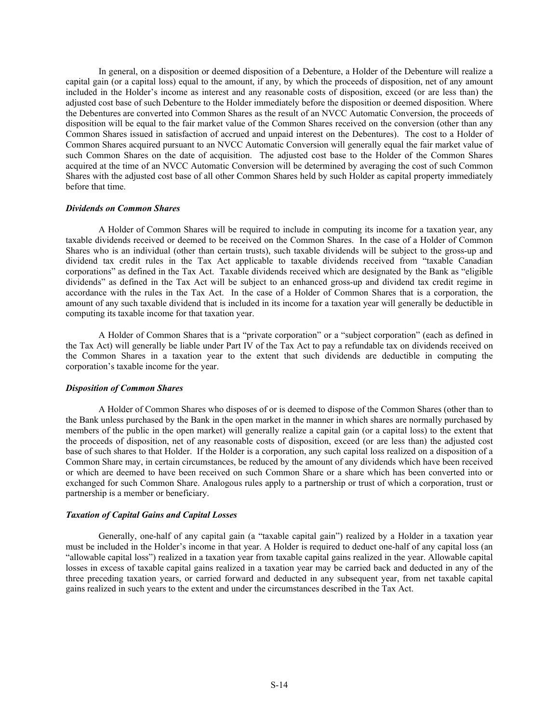In general, on a disposition or deemed disposition of a Debenture, a Holder of the Debenture will realize a capital gain (or a capital loss) equal to the amount, if any, by which the proceeds of disposition, net of any amount included in the Holder's income as interest and any reasonable costs of disposition, exceed (or are less than) the adjusted cost base of such Debenture to the Holder immediately before the disposition or deemed disposition. Where the Debentures are converted into Common Shares as the result of an NVCC Automatic Conversion, the proceeds of disposition will be equal to the fair market value of the Common Shares received on the conversion (other than any Common Shares issued in satisfaction of accrued and unpaid interest on the Debentures). The cost to a Holder of Common Shares acquired pursuant to an NVCC Automatic Conversion will generally equal the fair market value of such Common Shares on the date of acquisition. The adjusted cost base to the Holder of the Common Shares acquired at the time of an NVCC Automatic Conversion will be determined by averaging the cost of such Common Shares with the adjusted cost base of all other Common Shares held by such Holder as capital property immediately before that time.

### *Dividends on Common Shares*

A Holder of Common Shares will be required to include in computing its income for a taxation year, any taxable dividends received or deemed to be received on the Common Shares. In the case of a Holder of Common Shares who is an individual (other than certain trusts), such taxable dividends will be subject to the gross-up and dividend tax credit rules in the Tax Act applicable to taxable dividends received from "taxable Canadian corporations" as defined in the Tax Act. Taxable dividends received which are designated by the Bank as "eligible dividends" as defined in the Tax Act will be subject to an enhanced gross-up and dividend tax credit regime in accordance with the rules in the Tax Act. In the case of a Holder of Common Shares that is a corporation, the amount of any such taxable dividend that is included in its income for a taxation year will generally be deductible in computing its taxable income for that taxation year.

A Holder of Common Shares that is a "private corporation" or a "subject corporation" (each as defined in the Tax Act) will generally be liable under Part IV of the Tax Act to pay a refundable tax on dividends received on the Common Shares in a taxation year to the extent that such dividends are deductible in computing the corporation's taxable income for the year.

#### *Disposition of Common Shares*

A Holder of Common Shares who disposes of or is deemed to dispose of the Common Shares (other than to the Bank unless purchased by the Bank in the open market in the manner in which shares are normally purchased by members of the public in the open market) will generally realize a capital gain (or a capital loss) to the extent that the proceeds of disposition, net of any reasonable costs of disposition, exceed (or are less than) the adjusted cost base of such shares to that Holder. If the Holder is a corporation, any such capital loss realized on a disposition of a Common Share may, in certain circumstances, be reduced by the amount of any dividends which have been received or which are deemed to have been received on such Common Share or a share which has been converted into or exchanged for such Common Share. Analogous rules apply to a partnership or trust of which a corporation, trust or partnership is a member or beneficiary.

### *Taxation of Capital Gains and Capital Losses*

Generally, one-half of any capital gain (a "taxable capital gain") realized by a Holder in a taxation year must be included in the Holder's income in that year. A Holder is required to deduct one-half of any capital loss (an "allowable capital loss") realized in a taxation year from taxable capital gains realized in the year. Allowable capital losses in excess of taxable capital gains realized in a taxation year may be carried back and deducted in any of the three preceding taxation years, or carried forward and deducted in any subsequent year, from net taxable capital gains realized in such years to the extent and under the circumstances described in the Tax Act.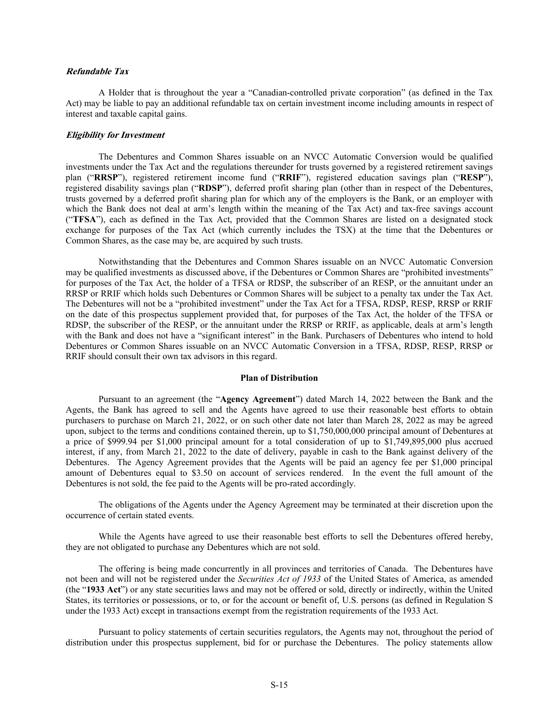## **Refundable Tax**

A Holder that is throughout the year a "Canadian-controlled private corporation" (as defined in the Tax Act) may be liable to pay an additional refundable tax on certain investment income including amounts in respect of interest and taxable capital gains.

### **Eligibility for Investment**

The Debentures and Common Shares issuable on an NVCC Automatic Conversion would be qualified investments under the Tax Act and the regulations thereunder for trusts governed by a registered retirement savings plan ("**RRSP**"), registered retirement income fund ("**RRIF**"), registered education savings plan ("**RESP**"), registered disability savings plan ("**RDSP**"), deferred profit sharing plan (other than in respect of the Debentures, trusts governed by a deferred profit sharing plan for which any of the employers is the Bank, or an employer with which the Bank does not deal at arm's length within the meaning of the Tax Act) and tax-free savings account ("**TFSA**"), each as defined in the Tax Act, provided that the Common Shares are listed on a designated stock exchange for purposes of the Tax Act (which currently includes the TSX) at the time that the Debentures or Common Shares, as the case may be, are acquired by such trusts.

Notwithstanding that the Debentures and Common Shares issuable on an NVCC Automatic Conversion may be qualified investments as discussed above, if the Debentures or Common Shares are "prohibited investments" for purposes of the Tax Act, the holder of a TFSA or RDSP, the subscriber of an RESP, or the annuitant under an RRSP or RRIF which holds such Debentures or Common Shares will be subject to a penalty tax under the Tax Act. The Debentures will not be a "prohibited investment" under the Tax Act for a TFSA, RDSP, RESP, RRSP or RRIF on the date of this prospectus supplement provided that, for purposes of the Tax Act, the holder of the TFSA or RDSP, the subscriber of the RESP, or the annuitant under the RRSP or RRIF, as applicable, deals at arm's length with the Bank and does not have a "significant interest" in the Bank. Purchasers of Debentures who intend to hold Debentures or Common Shares issuable on an NVCC Automatic Conversion in a TFSA, RDSP, RESP, RRSP or RRIF should consult their own tax advisors in this regard.

### **Plan of Distribution**

Pursuant to an agreement (the "**Agency Agreement**") dated March 14, 2022 between the Bank and the Agents, the Bank has agreed to sell and the Agents have agreed to use their reasonable best efforts to obtain purchasers to purchase on March 21, 2022, or on such other date not later than March 28, 2022 as may be agreed upon, subject to the terms and conditions contained therein, up to \$1,750,000,000 principal amount of Debentures at a price of \$999.94 per \$1,000 principal amount for a total consideration of up to \$1,749,895,000 plus accrued interest, if any, from March 21, 2022 to the date of delivery, payable in cash to the Bank against delivery of the Debentures. The Agency Agreement provides that the Agents will be paid an agency fee per \$1,000 principal amount of Debentures equal to \$3.50 on account of services rendered. In the event the full amount of the Debentures is not sold, the fee paid to the Agents will be pro-rated accordingly.

The obligations of the Agents under the Agency Agreement may be terminated at their discretion upon the occurrence of certain stated events.

While the Agents have agreed to use their reasonable best efforts to sell the Debentures offered hereby, they are not obligated to purchase any Debentures which are not sold.

The offering is being made concurrently in all provinces and territories of Canada. The Debentures have not been and will not be registered under the *Securities Act of 1933* of the United States of America, as amended (the "**1933 Act**") or any state securities laws and may not be offered or sold, directly or indirectly, within the United States, its territories or possessions, or to, or for the account or benefit of, U.S. persons (as defined in Regulation S under the 1933 Act) except in transactions exempt from the registration requirements of the 1933 Act.

Pursuant to policy statements of certain securities regulators, the Agents may not, throughout the period of distribution under this prospectus supplement, bid for or purchase the Debentures. The policy statements allow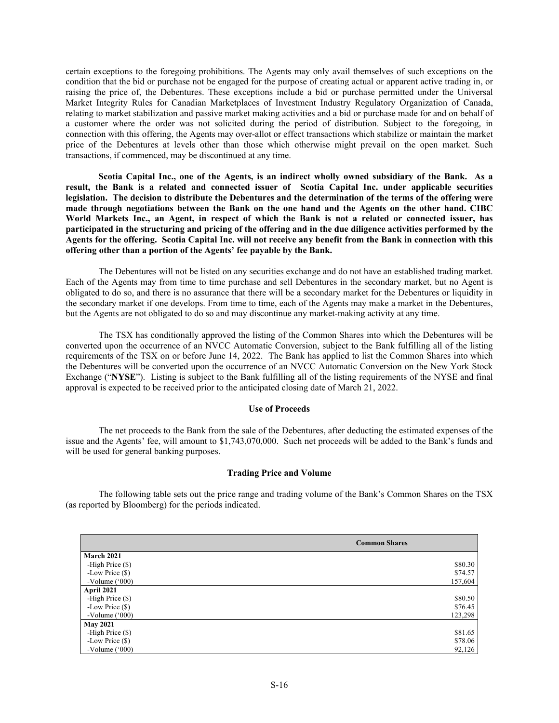certain exceptions to the foregoing prohibitions. The Agents may only avail themselves of such exceptions on the condition that the bid or purchase not be engaged for the purpose of creating actual or apparent active trading in, or raising the price of, the Debentures. These exceptions include a bid or purchase permitted under the Universal Market Integrity Rules for Canadian Marketplaces of Investment Industry Regulatory Organization of Canada, relating to market stabilization and passive market making activities and a bid or purchase made for and on behalf of a customer where the order was not solicited during the period of distribution. Subject to the foregoing, in connection with this offering, the Agents may over-allot or effect transactions which stabilize or maintain the market price of the Debentures at levels other than those which otherwise might prevail on the open market. Such transactions, if commenced, may be discontinued at any time.

**Scotia Capital Inc., one of the Agents, is an indirect wholly owned subsidiary of the Bank. As a result, the Bank is a related and connected issuer of Scotia Capital Inc. under applicable securities legislation. The decision to distribute the Debentures and the determination of the terms of the offering were made through negotiations between the Bank on the one hand and the Agents on the other hand. CIBC World Markets Inc., an Agent, in respect of which the Bank is not a related or connected issuer, has participated in the structuring and pricing of the offering and in the due diligence activities performed by the Agents for the offering. Scotia Capital Inc. will not receive any benefit from the Bank in connection with this offering other than a portion of the Agents' fee payable by the Bank.** 

The Debentures will not be listed on any securities exchange and do not have an established trading market. Each of the Agents may from time to time purchase and sell Debentures in the secondary market, but no Agent is obligated to do so, and there is no assurance that there will be a secondary market for the Debentures or liquidity in the secondary market if one develops. From time to time, each of the Agents may make a market in the Debentures, but the Agents are not obligated to do so and may discontinue any market-making activity at any time.

The TSX has conditionally approved the listing of the Common Shares into which the Debentures will be converted upon the occurrence of an NVCC Automatic Conversion, subject to the Bank fulfilling all of the listing requirements of the TSX on or before June 14, 2022. The Bank has applied to list the Common Shares into which the Debentures will be converted upon the occurrence of an NVCC Automatic Conversion on the New York Stock Exchange ("**NYSE**"). Listing is subject to the Bank fulfilling all of the listing requirements of the NYSE and final approval is expected to be received prior to the anticipated closing date of March 21, 2022.

### **Use of Proceeds**

The net proceeds to the Bank from the sale of the Debentures, after deducting the estimated expenses of the issue and the Agents' fee, will amount to \$1,743,070,000. Such net proceeds will be added to the Bank's funds and will be used for general banking purposes.

## **Trading Price and Volume**

The following table sets out the price range and trading volume of the Bank's Common Shares on the TSX (as reported by Bloomberg) for the periods indicated.

|                    | <b>Common Shares</b> |
|--------------------|----------------------|
| March 2021         |                      |
| -High Price $(\$)$ | \$80.30              |
| -Low Price $(\$)$  | \$74.57              |
| -Volume $('000)$   | 157,604              |
| April 2021         |                      |
| -High Price $(\$)$ | \$80.50              |
| -Low Price $(\$)$  | \$76.45              |
| -Volume $('000)$   | 123,298              |
| <b>May 2021</b>    |                      |
| -High Price (\$)   | \$81.65              |
| -Low Price $(\$)$  | \$78.06              |
| -Volume $(000)$    | 92,126               |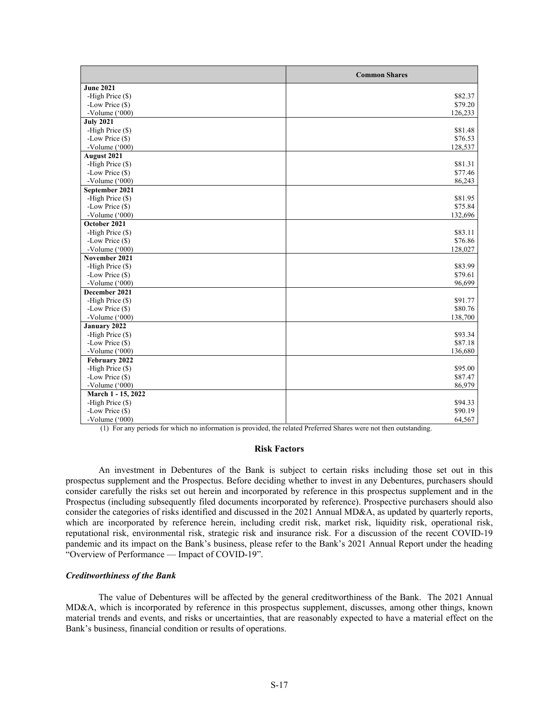|                    | <b>Common Shares</b> |
|--------------------|----------------------|
| <b>June 2021</b>   |                      |
| -High Price (\$)   | \$82.37              |
| -Low Price (\$)    | \$79.20              |
| -Volume $(900)$    | 126,233              |
| <b>July 2021</b>   |                      |
| -High Price (\$)   | \$81.48              |
| -Low Price (\$)    | \$76.53              |
| -Volume $(900)$    | 128,537              |
| August 2021        |                      |
| -High Price (\$)   | \$81.31              |
| -Low Price (\$)    | \$77.46              |
| -Volume $(000)$    | 86,243               |
| September 2021     |                      |
| -High Price (\$)   | \$81.95              |
| -Low Price (\$)    | \$75.84              |
| -Volume $(900)$    | 132,696              |
| October 2021       |                      |
| -High Price (\$)   | \$83.11              |
| -Low Price (\$)    | \$76.86              |
| -Volume $(900)$    | 128,027              |
| November 2021      |                      |
| -High Price (\$)   | \$83.99              |
| -Low Price $(\$)$  | \$79.61              |
| -Volume $(900)$    | 96,699               |
| December 2021      |                      |
| -High Price (\$)   | \$91.77              |
| -Low Price $(\$)$  | \$80.76              |
| -Volume ('000)     | 138,700              |
| January 2022       |                      |
| -High Price $(\$)$ | \$93.34              |
| -Low Price (\$)    | \$87.18              |
| -Volume $('000)$   | 136,680              |
| February 2022      |                      |
| -High Price (\$)   | \$95.00              |
| -Low Price (\$)    | \$87.47              |
| -Volume $(000)$    | 86,979               |
| March 1 - 15, 2022 |                      |
| -High Price (\$)   | \$94.33              |
| -Low Price (\$)    | \$90.19              |
| -Volume ('000)     | 64,567               |

(1) For any periods for which no information is provided, the related Preferred Shares were not then outstanding.

## **Risk Factors**

An investment in Debentures of the Bank is subject to certain risks including those set out in this prospectus supplement and the Prospectus. Before deciding whether to invest in any Debentures, purchasers should consider carefully the risks set out herein and incorporated by reference in this prospectus supplement and in the Prospectus (including subsequently filed documents incorporated by reference). Prospective purchasers should also consider the categories of risks identified and discussed in the 2021 Annual MD&A, as updated by quarterly reports, which are incorporated by reference herein, including credit risk, market risk, liquidity risk, operational risk, reputational risk, environmental risk, strategic risk and insurance risk. For a discussion of the recent COVID-19 pandemic and its impact on the Bank's business, please refer to the Bank's 2021 Annual Report under the heading "Overview of Performance — Impact of COVID-19".

#### *Creditworthiness of the Bank*

The value of Debentures will be affected by the general creditworthiness of the Bank. The 2021 Annual MD&A, which is incorporated by reference in this prospectus supplement, discusses, among other things, known material trends and events, and risks or uncertainties, that are reasonably expected to have a material effect on the Bank's business, financial condition or results of operations.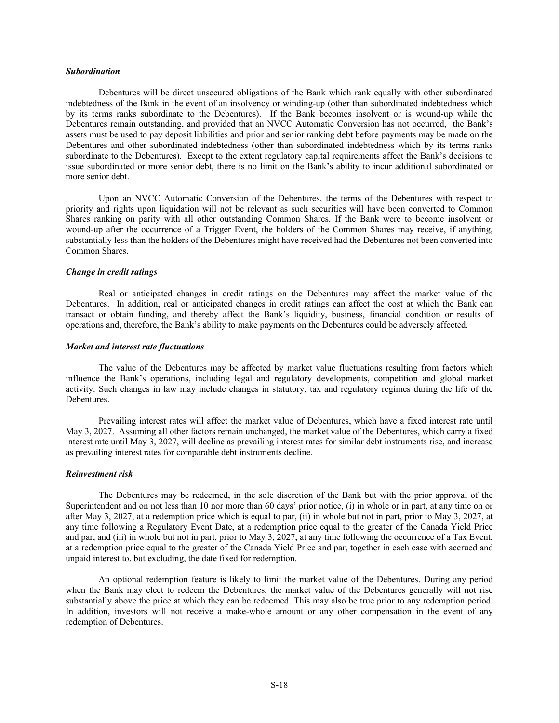### *Subordination*

Debentures will be direct unsecured obligations of the Bank which rank equally with other subordinated indebtedness of the Bank in the event of an insolvency or winding-up (other than subordinated indebtedness which by its terms ranks subordinate to the Debentures). If the Bank becomes insolvent or is wound-up while the Debentures remain outstanding, and provided that an NVCC Automatic Conversion has not occurred, the Bank's assets must be used to pay deposit liabilities and prior and senior ranking debt before payments may be made on the Debentures and other subordinated indebtedness (other than subordinated indebtedness which by its terms ranks subordinate to the Debentures). Except to the extent regulatory capital requirements affect the Bank's decisions to issue subordinated or more senior debt, there is no limit on the Bank's ability to incur additional subordinated or more senior debt.

Upon an NVCC Automatic Conversion of the Debentures, the terms of the Debentures with respect to priority and rights upon liquidation will not be relevant as such securities will have been converted to Common Shares ranking on parity with all other outstanding Common Shares. If the Bank were to become insolvent or wound-up after the occurrence of a Trigger Event, the holders of the Common Shares may receive, if anything, substantially less than the holders of the Debentures might have received had the Debentures not been converted into Common Shares.

#### *Change in credit ratings*

Real or anticipated changes in credit ratings on the Debentures may affect the market value of the Debentures. In addition, real or anticipated changes in credit ratings can affect the cost at which the Bank can transact or obtain funding, and thereby affect the Bank's liquidity, business, financial condition or results of operations and, therefore, the Bank's ability to make payments on the Debentures could be adversely affected.

#### *Market and interest rate fluctuations*

The value of the Debentures may be affected by market value fluctuations resulting from factors which influence the Bank's operations, including legal and regulatory developments, competition and global market activity. Such changes in law may include changes in statutory, tax and regulatory regimes during the life of the Debentures.

Prevailing interest rates will affect the market value of Debentures, which have a fixed interest rate until May 3, 2027. Assuming all other factors remain unchanged, the market value of the Debentures, which carry a fixed interest rate until May 3, 2027, will decline as prevailing interest rates for similar debt instruments rise, and increase as prevailing interest rates for comparable debt instruments decline.

#### *Reinvestment risk*

The Debentures may be redeemed, in the sole discretion of the Bank but with the prior approval of the Superintendent and on not less than 10 nor more than 60 days' prior notice, (i) in whole or in part, at any time on or after May 3, 2027, at a redemption price which is equal to par, (ii) in whole but not in part, prior to May 3, 2027, at any time following a Regulatory Event Date, at a redemption price equal to the greater of the Canada Yield Price and par, and (iii) in whole but not in part, prior to May 3, 2027, at any time following the occurrence of a Tax Event, at a redemption price equal to the greater of the Canada Yield Price and par, together in each case with accrued and unpaid interest to, but excluding, the date fixed for redemption.

An optional redemption feature is likely to limit the market value of the Debentures. During any period when the Bank may elect to redeem the Debentures, the market value of the Debentures generally will not rise substantially above the price at which they can be redeemed. This may also be true prior to any redemption period. In addition, investors will not receive a make-whole amount or any other compensation in the event of any redemption of Debentures.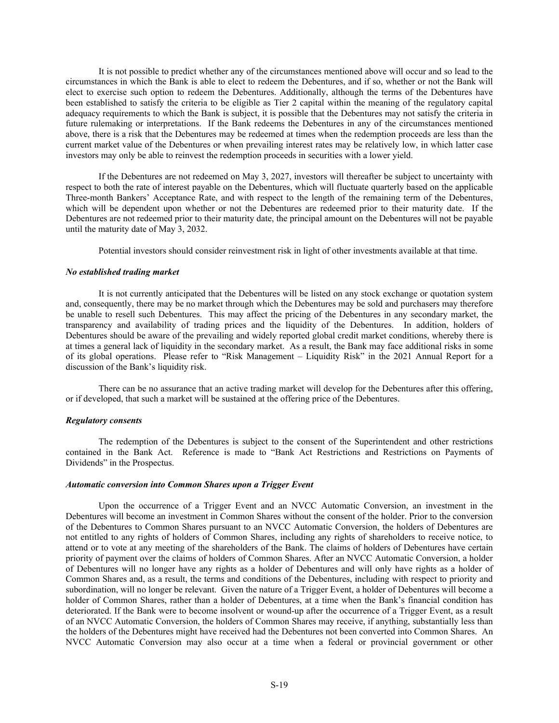It is not possible to predict whether any of the circumstances mentioned above will occur and so lead to the circumstances in which the Bank is able to elect to redeem the Debentures, and if so, whether or not the Bank will elect to exercise such option to redeem the Debentures. Additionally, although the terms of the Debentures have been established to satisfy the criteria to be eligible as Tier 2 capital within the meaning of the regulatory capital adequacy requirements to which the Bank is subject, it is possible that the Debentures may not satisfy the criteria in future rulemaking or interpretations. If the Bank redeems the Debentures in any of the circumstances mentioned above, there is a risk that the Debentures may be redeemed at times when the redemption proceeds are less than the current market value of the Debentures or when prevailing interest rates may be relatively low, in which latter case investors may only be able to reinvest the redemption proceeds in securities with a lower yield.

If the Debentures are not redeemed on May 3, 2027, investors will thereafter be subject to uncertainty with respect to both the rate of interest payable on the Debentures, which will fluctuate quarterly based on the applicable Three-month Bankers' Acceptance Rate, and with respect to the length of the remaining term of the Debentures, which will be dependent upon whether or not the Debentures are redeemed prior to their maturity date. If the Debentures are not redeemed prior to their maturity date, the principal amount on the Debentures will not be payable until the maturity date of May 3, 2032.

Potential investors should consider reinvestment risk in light of other investments available at that time.

#### *No established trading market*

It is not currently anticipated that the Debentures will be listed on any stock exchange or quotation system and, consequently, there may be no market through which the Debentures may be sold and purchasers may therefore be unable to resell such Debentures. This may affect the pricing of the Debentures in any secondary market, the transparency and availability of trading prices and the liquidity of the Debentures. In addition, holders of Debentures should be aware of the prevailing and widely reported global credit market conditions, whereby there is at times a general lack of liquidity in the secondary market. As a result, the Bank may face additional risks in some of its global operations. Please refer to "Risk Management – Liquidity Risk" in the 2021 Annual Report for a discussion of the Bank's liquidity risk.

There can be no assurance that an active trading market will develop for the Debentures after this offering, or if developed, that such a market will be sustained at the offering price of the Debentures.

### *Regulatory consents*

The redemption of the Debentures is subject to the consent of the Superintendent and other restrictions contained in the Bank Act. Reference is made to "Bank Act Restrictions and Restrictions on Payments of Dividends" in the Prospectus.

#### *Automatic conversion into Common Shares upon a Trigger Event*

Upon the occurrence of a Trigger Event and an NVCC Automatic Conversion, an investment in the Debentures will become an investment in Common Shares without the consent of the holder. Prior to the conversion of the Debentures to Common Shares pursuant to an NVCC Automatic Conversion, the holders of Debentures are not entitled to any rights of holders of Common Shares, including any rights of shareholders to receive notice, to attend or to vote at any meeting of the shareholders of the Bank. The claims of holders of Debentures have certain priority of payment over the claims of holders of Common Shares. After an NVCC Automatic Conversion, a holder of Debentures will no longer have any rights as a holder of Debentures and will only have rights as a holder of Common Shares and, as a result, the terms and conditions of the Debentures, including with respect to priority and subordination, will no longer be relevant. Given the nature of a Trigger Event, a holder of Debentures will become a holder of Common Shares, rather than a holder of Debentures, at a time when the Bank's financial condition has deteriorated. If the Bank were to become insolvent or wound-up after the occurrence of a Trigger Event, as a result of an NVCC Automatic Conversion, the holders of Common Shares may receive, if anything, substantially less than the holders of the Debentures might have received had the Debentures not been converted into Common Shares. An NVCC Automatic Conversion may also occur at a time when a federal or provincial government or other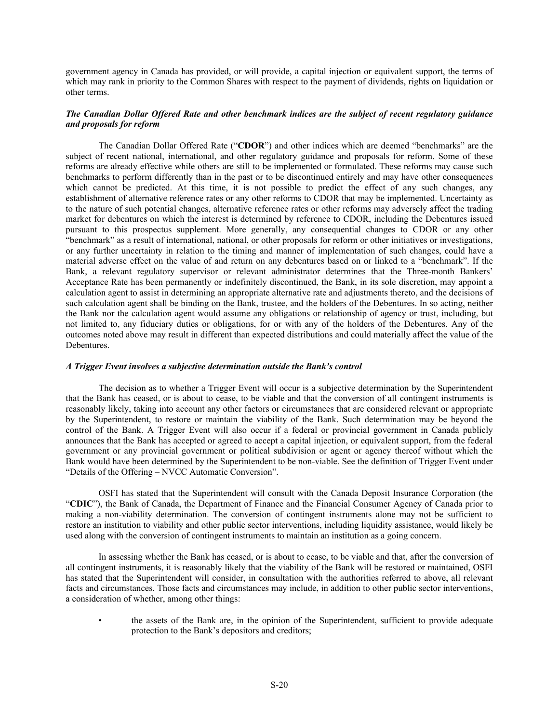government agency in Canada has provided, or will provide, a capital injection or equivalent support, the terms of which may rank in priority to the Common Shares with respect to the payment of dividends, rights on liquidation or other terms.

# *The Canadian Dollar Offered Rate and other benchmark indices are the subject of recent regulatory guidance and proposals for reform*

The Canadian Dollar Offered Rate ("**CDOR**") and other indices which are deemed "benchmarks" are the subject of recent national, international, and other regulatory guidance and proposals for reform. Some of these reforms are already effective while others are still to be implemented or formulated. These reforms may cause such benchmarks to perform differently than in the past or to be discontinued entirely and may have other consequences which cannot be predicted. At this time, it is not possible to predict the effect of any such changes, any establishment of alternative reference rates or any other reforms to CDOR that may be implemented. Uncertainty as to the nature of such potential changes, alternative reference rates or other reforms may adversely affect the trading market for debentures on which the interest is determined by reference to CDOR, including the Debentures issued pursuant to this prospectus supplement. More generally, any consequential changes to CDOR or any other "benchmark" as a result of international, national, or other proposals for reform or other initiatives or investigations, or any further uncertainty in relation to the timing and manner of implementation of such changes, could have a material adverse effect on the value of and return on any debentures based on or linked to a "benchmark". If the Bank, a relevant regulatory supervisor or relevant administrator determines that the Three-month Bankers' Acceptance Rate has been permanently or indefinitely discontinued, the Bank, in its sole discretion, may appoint a calculation agent to assist in determining an appropriate alternative rate and adjustments thereto, and the decisions of such calculation agent shall be binding on the Bank, trustee, and the holders of the Debentures. In so acting, neither the Bank nor the calculation agent would assume any obligations or relationship of agency or trust, including, but not limited to, any fiduciary duties or obligations, for or with any of the holders of the Debentures. Any of the outcomes noted above may result in different than expected distributions and could materially affect the value of the **Debentures** 

## *A Trigger Event involves a subjective determination outside the Bank's control*

The decision as to whether a Trigger Event will occur is a subjective determination by the Superintendent that the Bank has ceased, or is about to cease, to be viable and that the conversion of all contingent instruments is reasonably likely, taking into account any other factors or circumstances that are considered relevant or appropriate by the Superintendent, to restore or maintain the viability of the Bank. Such determination may be beyond the control of the Bank. A Trigger Event will also occur if a federal or provincial government in Canada publicly announces that the Bank has accepted or agreed to accept a capital injection, or equivalent support, from the federal government or any provincial government or political subdivision or agent or agency thereof without which the Bank would have been determined by the Superintendent to be non-viable. See the definition of Trigger Event under "Details of the Offering – NVCC Automatic Conversion".

OSFI has stated that the Superintendent will consult with the Canada Deposit Insurance Corporation (the "**CDIC**"), the Bank of Canada, the Department of Finance and the Financial Consumer Agency of Canada prior to making a non-viability determination. The conversion of contingent instruments alone may not be sufficient to restore an institution to viability and other public sector interventions, including liquidity assistance, would likely be used along with the conversion of contingent instruments to maintain an institution as a going concern.

In assessing whether the Bank has ceased, or is about to cease, to be viable and that, after the conversion of all contingent instruments, it is reasonably likely that the viability of the Bank will be restored or maintained, OSFI has stated that the Superintendent will consider, in consultation with the authorities referred to above, all relevant facts and circumstances. Those facts and circumstances may include, in addition to other public sector interventions, a consideration of whether, among other things:

• the assets of the Bank are, in the opinion of the Superintendent, sufficient to provide adequate protection to the Bank's depositors and creditors;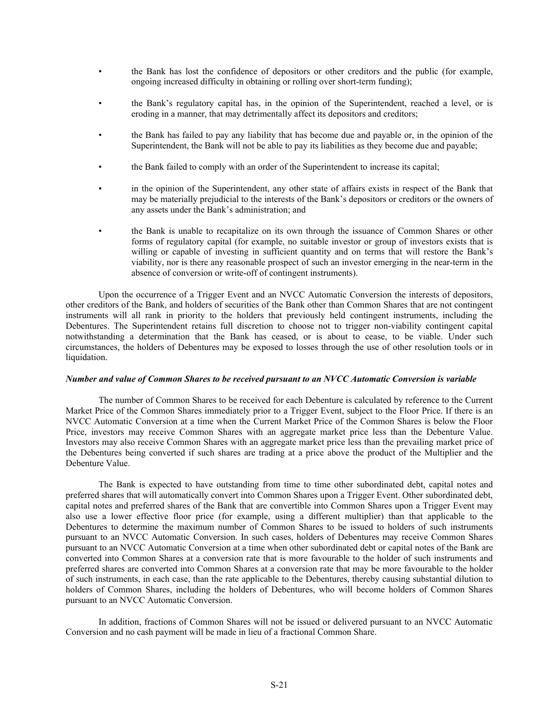- the Bank has lost the confidence of depositors or other creditors and the public (for example, ongoing increased difficulty in obtaining or rolling over short-term funding);
- the Bank's regulatory capital has, in the opinion of the Superintendent, reached a level, or is eroding in a manner, that may detrimentally affect its depositors and creditors;
- the Bank has failed to pay any liability that has become due and payable or, in the opinion of the Superintendent, the Bank will not be able to pay its liabilities as they become due and payable;
- the Bank failed to comply with an order of the Superintendent to increase its capital;
- in the opinion of the Superintendent, any other state of affairs exists in respect of the Bank that may be materially prejudicial to the interests of the Bank's depositors or creditors or the owners of any assets under the Bank's administration; and
- the Bank is unable to recapitalize on its own through the issuance of Common Shares or other forms of regulatory capital (for example, no suitable investor or group of investors exists that is willing or capable of investing in sufficient quantity and on terms that will restore the Bank's viability, nor is there any reasonable prospect of such an investor emerging in the near-term in the absence of conversion or write-off of contingent instruments).

Upon the occurrence of a Trigger Event and an NVCC Automatic Conversion the interests of depositors, other creditors of the Bank, and holders of securities of the Bank other than Common Shares that are not contingent instruments will all rank in priority to the holders that previously held contingent instruments, including the Debentures. The Superintendent retains full discretion to choose not to trigger non-viability contingent capital notwithstanding a determination that the Bank has ceased, or is about to cease, to be viable. Under such circumstances, the holders of Debentures may be exposed to losses through the use of other resolution tools or in liquidation.

### *Number and value of Common Shares to be received pursuant to an NVCC Automatic Conversion is variable*

The number of Common Shares to be received for each Debenture is calculated by reference to the Current Market Price of the Common Shares immediately prior to a Trigger Event, subject to the Floor Price. If there is an NVCC Automatic Conversion at a time when the Current Market Price of the Common Shares is below the Floor Price, investors may receive Common Shares with an aggregate market price less than the Debenture Value. Investors may also receive Common Shares with an aggregate market price less than the prevailing market price of the Debentures being converted if such shares are trading at a price above the product of the Multiplier and the Debenture Value.

The Bank is expected to have outstanding from time to time other subordinated debt, capital notes and preferred shares that will automatically convert into Common Shares upon a Trigger Event. Other subordinated debt, capital notes and preferred shares of the Bank that are convertible into Common Shares upon a Trigger Event may also use a lower effective floor price (for example, using a different multiplier) than that applicable to the Debentures to determine the maximum number of Common Shares to be issued to holders of such instruments pursuant to an NVCC Automatic Conversion. In such cases, holders of Debentures may receive Common Shares pursuant to an NVCC Automatic Conversion at a time when other subordinated debt or capital notes of the Bank are converted into Common Shares at a conversion rate that is more favourable to the holder of such instruments and preferred shares are converted into Common Shares at a conversion rate that may be more favourable to the holder of such instruments, in each case, than the rate applicable to the Debentures, thereby causing substantial dilution to holders of Common Shares, including the holders of Debentures, who will become holders of Common Shares pursuant to an NVCC Automatic Conversion.

In addition, fractions of Common Shares will not be issued or delivered pursuant to an NVCC Automatic Conversion and no cash payment will be made in lieu of a fractional Common Share.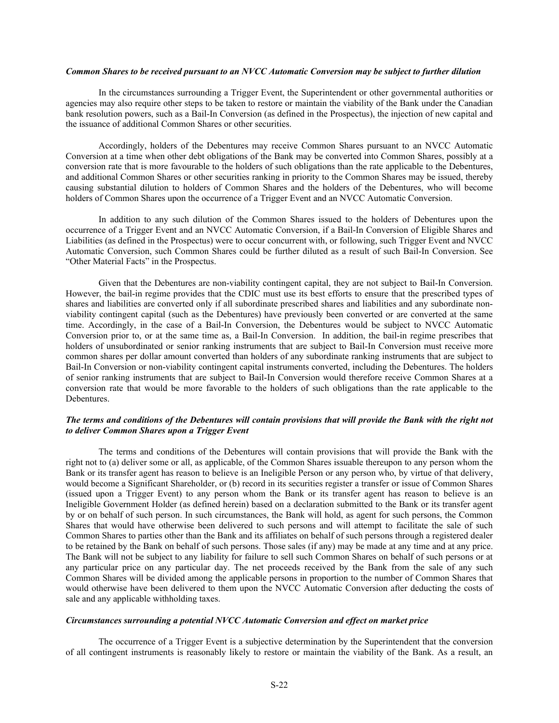## *Common Shares to be received pursuant to an NVCC Automatic Conversion may be subject to further dilution*

In the circumstances surrounding a Trigger Event, the Superintendent or other governmental authorities or agencies may also require other steps to be taken to restore or maintain the viability of the Bank under the Canadian bank resolution powers, such as a Bail-In Conversion (as defined in the Prospectus), the injection of new capital and the issuance of additional Common Shares or other securities.

Accordingly, holders of the Debentures may receive Common Shares pursuant to an NVCC Automatic Conversion at a time when other debt obligations of the Bank may be converted into Common Shares, possibly at a conversion rate that is more favourable to the holders of such obligations than the rate applicable to the Debentures, and additional Common Shares or other securities ranking in priority to the Common Shares may be issued, thereby causing substantial dilution to holders of Common Shares and the holders of the Debentures, who will become holders of Common Shares upon the occurrence of a Trigger Event and an NVCC Automatic Conversion.

In addition to any such dilution of the Common Shares issued to the holders of Debentures upon the occurrence of a Trigger Event and an NVCC Automatic Conversion, if a Bail-In Conversion of Eligible Shares and Liabilities (as defined in the Prospectus) were to occur concurrent with, or following, such Trigger Event and NVCC Automatic Conversion, such Common Shares could be further diluted as a result of such Bail-In Conversion. See "Other Material Facts" in the Prospectus.

Given that the Debentures are non-viability contingent capital, they are not subject to Bail-In Conversion. However, the bail-in regime provides that the CDIC must use its best efforts to ensure that the prescribed types of shares and liabilities are converted only if all subordinate prescribed shares and liabilities and any subordinate nonviability contingent capital (such as the Debentures) have previously been converted or are converted at the same time. Accordingly, in the case of a Bail-In Conversion, the Debentures would be subject to NVCC Automatic Conversion prior to, or at the same time as, a Bail-In Conversion. In addition, the bail-in regime prescribes that holders of unsubordinated or senior ranking instruments that are subject to Bail-In Conversion must receive more common shares per dollar amount converted than holders of any subordinate ranking instruments that are subject to Bail-In Conversion or non-viability contingent capital instruments converted, including the Debentures. The holders of senior ranking instruments that are subject to Bail-In Conversion would therefore receive Common Shares at a conversion rate that would be more favorable to the holders of such obligations than the rate applicable to the Debentures.

## *The terms and conditions of the Debentures will contain provisions that will provide the Bank with the right not to deliver Common Shares upon a Trigger Event*

The terms and conditions of the Debentures will contain provisions that will provide the Bank with the right not to (a) deliver some or all, as applicable, of the Common Shares issuable thereupon to any person whom the Bank or its transfer agent has reason to believe is an Ineligible Person or any person who, by virtue of that delivery, would become a Significant Shareholder, or (b) record in its securities register a transfer or issue of Common Shares (issued upon a Trigger Event) to any person whom the Bank or its transfer agent has reason to believe is an Ineligible Government Holder (as defined herein) based on a declaration submitted to the Bank or its transfer agent by or on behalf of such person. In such circumstances, the Bank will hold, as agent for such persons, the Common Shares that would have otherwise been delivered to such persons and will attempt to facilitate the sale of such Common Shares to parties other than the Bank and its affiliates on behalf of such persons through a registered dealer to be retained by the Bank on behalf of such persons. Those sales (if any) may be made at any time and at any price. The Bank will not be subject to any liability for failure to sell such Common Shares on behalf of such persons or at any particular price on any particular day. The net proceeds received by the Bank from the sale of any such Common Shares will be divided among the applicable persons in proportion to the number of Common Shares that would otherwise have been delivered to them upon the NVCC Automatic Conversion after deducting the costs of sale and any applicable withholding taxes.

#### *Circumstances surrounding a potential NVCC Automatic Conversion and effect on market price*

The occurrence of a Trigger Event is a subjective determination by the Superintendent that the conversion of all contingent instruments is reasonably likely to restore or maintain the viability of the Bank. As a result, an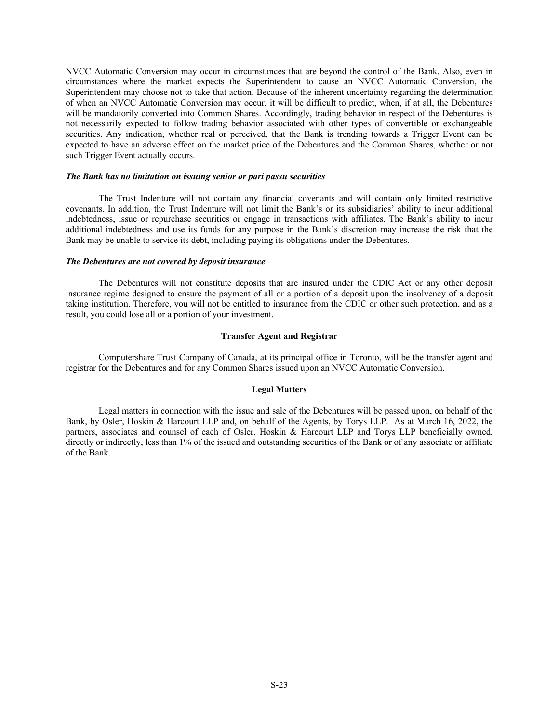NVCC Automatic Conversion may occur in circumstances that are beyond the control of the Bank. Also, even in circumstances where the market expects the Superintendent to cause an NVCC Automatic Conversion, the Superintendent may choose not to take that action. Because of the inherent uncertainty regarding the determination of when an NVCC Automatic Conversion may occur, it will be difficult to predict, when, if at all, the Debentures will be mandatorily converted into Common Shares. Accordingly, trading behavior in respect of the Debentures is not necessarily expected to follow trading behavior associated with other types of convertible or exchangeable securities. Any indication, whether real or perceived, that the Bank is trending towards a Trigger Event can be expected to have an adverse effect on the market price of the Debentures and the Common Shares, whether or not such Trigger Event actually occurs.

#### *The Bank has no limitation on issuing senior or pari passu securities*

The Trust Indenture will not contain any financial covenants and will contain only limited restrictive covenants. In addition, the Trust Indenture will not limit the Bank's or its subsidiaries' ability to incur additional indebtedness, issue or repurchase securities or engage in transactions with affiliates. The Bank's ability to incur additional indebtedness and use its funds for any purpose in the Bank's discretion may increase the risk that the Bank may be unable to service its debt, including paying its obligations under the Debentures.

## *The Debentures are not covered by deposit insurance*

The Debentures will not constitute deposits that are insured under the CDIC Act or any other deposit insurance regime designed to ensure the payment of all or a portion of a deposit upon the insolvency of a deposit taking institution. Therefore, you will not be entitled to insurance from the CDIC or other such protection, and as a result, you could lose all or a portion of your investment.

## **Transfer Agent and Registrar**

Computershare Trust Company of Canada, at its principal office in Toronto, will be the transfer agent and registrar for the Debentures and for any Common Shares issued upon an NVCC Automatic Conversion.

# **Legal Matters**

Legal matters in connection with the issue and sale of the Debentures will be passed upon, on behalf of the Bank, by Osler, Hoskin & Harcourt LLP and, on behalf of the Agents, by Torys LLP. As at March 16, 2022, the partners, associates and counsel of each of Osler, Hoskin & Harcourt LLP and Torys LLP beneficially owned, directly or indirectly, less than 1% of the issued and outstanding securities of the Bank or of any associate or affiliate of the Bank.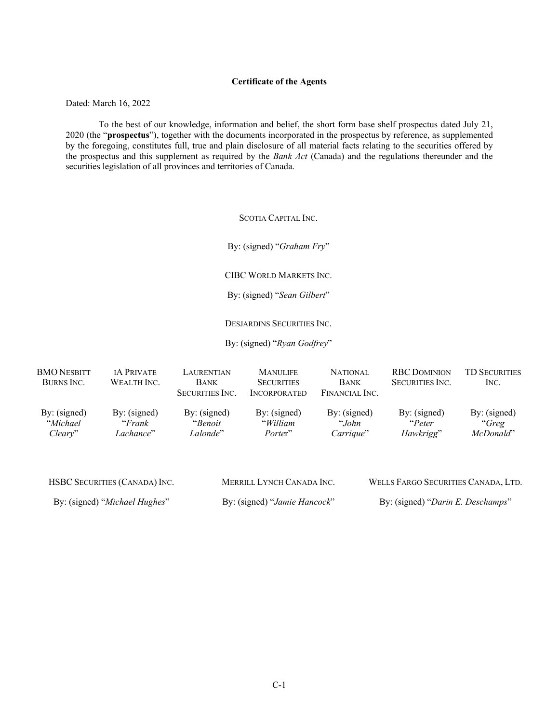## **Certificate of the Agents**

Dated: March 16, 2022

To the best of our knowledge, information and belief, the short form base shelf prospectus dated July 21, 2020 (the "**prospectus**"), together with the documents incorporated in the prospectus by reference, as supplemented by the foregoing, constitutes full, true and plain disclosure of all material facts relating to the securities offered by the prospectus and this supplement as required by the *Bank Act* (Canada) and the regulations thereunder and the securities legislation of all provinces and territories of Canada.

### SCOTIA CAPITAL INC.

By: (signed) "*Graham Fry*"

CIBC WORLD MARKETS INC.

By: (signed) "*Sean Gilbert*"

DESJARDINS SECURITIES INC.

By: (signed) "*Ryan Godfrey*"

| <b>BMO NESBITT</b><br>BURNS INC.                 | <b>IA PRIVATE</b><br>WEALTH INC.           | LAURENTIAN<br>BANK<br><b>SECURITIES INC.</b> | <b>MANULIFE</b><br><b>SECURITIES</b><br><b>INCORPORATED</b> | <b>NATIONAL</b><br>BANK<br>FINANCIAL INC. | <b>RBC DOMINION</b><br><b>SECURITIES INC.</b> | <b>TD SECURITIES</b><br>INC.       |
|--------------------------------------------------|--------------------------------------------|----------------------------------------------|-------------------------------------------------------------|-------------------------------------------|-----------------------------------------------|------------------------------------|
| By: (signed)<br>"Michael<br>$Clear$ <sup>"</sup> | By: (signed)<br><i>"Frank</i><br>Lachance" | By: (signed)<br><i>"Benoit</i><br>Lalonde"   | By: $(signed)$<br><i>William</i><br><i>Porter</i> "         | By: (signed)<br>"John"<br>Carrique"       | By: (signed)<br><i>"Peter</i> "<br>Hawkrigg"  | By: (signed)<br>"Greg<br>McDonald" |
|                                                  | HSBC SECURITIES (CANADA) INC.              |                                              | MERRILL LYNCH CANADA INC.                                   |                                           | WELLS FARGO SECURITIES CANADA, LTD.           |                                    |
|                                                  | By: (signed) "Michael Hughes"              |                                              | By: (signed) "Jamie Hancock"                                |                                           | By: (signed) "Darin E. Deschamps"             |                                    |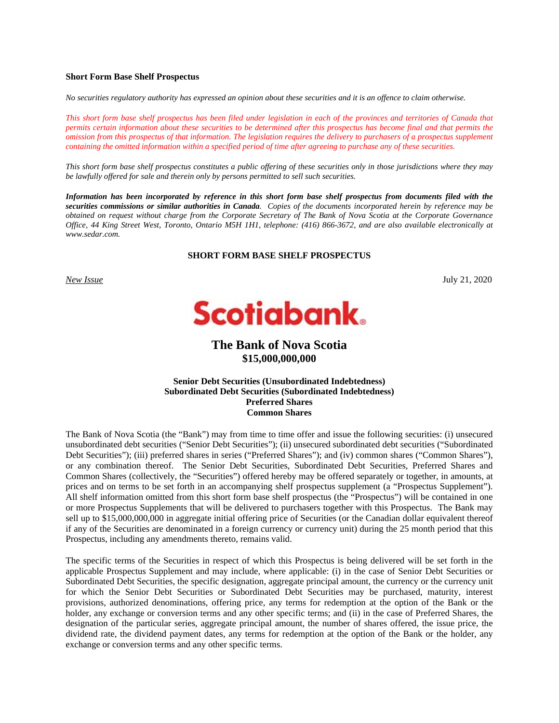#### **Short Form Base Shelf Prospectus**

*No securities regulatory authority has expressed an opinion about these securities and it is an offence to claim otherwise.* 

*This short form base shelf prospectus has been filed under legislation in each of the provinces and territories of Canada that permits certain information about these securities to be determined after this prospectus has become final and that permits the omission from this prospectus of that information. The legislation requires the delivery to purchasers of a prospectus supplement containing the omitted information within a specified period of time after agreeing to purchase any of these securities.* 

*This short form base shelf prospectus constitutes a public offering of these securities only in those jurisdictions where they may be lawfully offered for sale and therein only by persons permitted to sell such securities.* 

*Information has been incorporated by reference in this short form base shelf prospectus from documents filed with the securities commissions or similar authorities in Canada. Copies of the documents incorporated herein by reference may be obtained on request without charge from the Corporate Secretary of The Bank of Nova Scotia at the Corporate Governance Office, 44 King Street West, Toronto, Ontario M5H 1H1, telephone: (416) 866-3672, and are also available electronically at www.sedar.com.* 

#### **SHORT FORM BASE SHELF PROSPECTUS**

*New Issue* July 21, 2020



# **The Bank of Nova Scotia \$15,000,000,000**

## **Senior Debt Securities (Unsubordinated Indebtedness) Subordinated Debt Securities (Subordinated Indebtedness) Preferred Shares Common Shares**

The Bank of Nova Scotia (the "Bank") may from time to time offer and issue the following securities: (i) unsecured unsubordinated debt securities ("Senior Debt Securities"); (ii) unsecured subordinated debt securities ("Subordinated Debt Securities"); (iii) preferred shares in series ("Preferred Shares"); and (iv) common shares ("Common Shares"), or any combination thereof. The Senior Debt Securities, Subordinated Debt Securities, Preferred Shares and Common Shares (collectively, the "Securities") offered hereby may be offered separately or together, in amounts, at prices and on terms to be set forth in an accompanying shelf prospectus supplement (a "Prospectus Supplement"). All shelf information omitted from this short form base shelf prospectus (the "Prospectus") will be contained in one or more Prospectus Supplements that will be delivered to purchasers together with this Prospectus. The Bank may sell up to \$15,000,000,000 in aggregate initial offering price of Securities (or the Canadian dollar equivalent thereof if any of the Securities are denominated in a foreign currency or currency unit) during the 25 month period that this Prospectus, including any amendments thereto, remains valid.

The specific terms of the Securities in respect of which this Prospectus is being delivered will be set forth in the applicable Prospectus Supplement and may include, where applicable: (i) in the case of Senior Debt Securities or Subordinated Debt Securities, the specific designation, aggregate principal amount, the currency or the currency unit for which the Senior Debt Securities or Subordinated Debt Securities may be purchased, maturity, interest provisions, authorized denominations, offering price, any terms for redemption at the option of the Bank or the holder, any exchange or conversion terms and any other specific terms; and (ii) in the case of Preferred Shares, the designation of the particular series, aggregate principal amount, the number of shares offered, the issue price, the dividend rate, the dividend payment dates, any terms for redemption at the option of the Bank or the holder, any exchange or conversion terms and any other specific terms.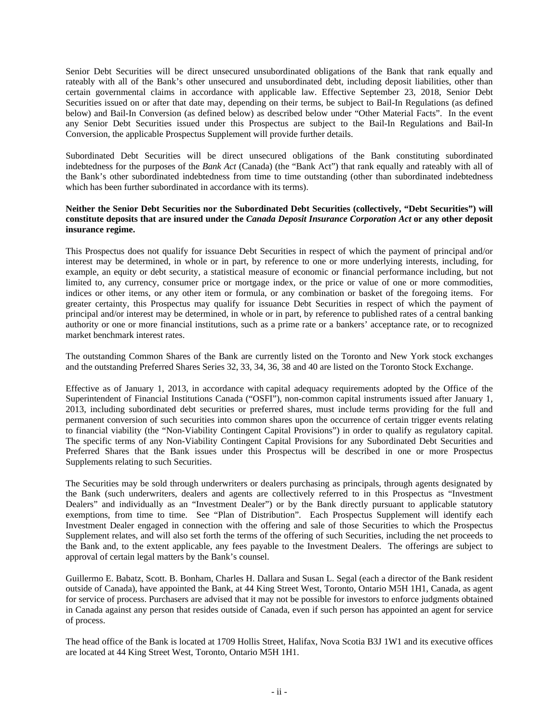Senior Debt Securities will be direct unsecured unsubordinated obligations of the Bank that rank equally and rateably with all of the Bank's other unsecured and unsubordinated debt, including deposit liabilities, other than certain governmental claims in accordance with applicable law. Effective September 23, 2018, Senior Debt Securities issued on or after that date may, depending on their terms, be subject to Bail-In Regulations (as defined below) and Bail-In Conversion (as defined below) as described below under "Other Material Facts". In the event any Senior Debt Securities issued under this Prospectus are subject to the Bail-In Regulations and Bail-In Conversion, the applicable Prospectus Supplement will provide further details.

Subordinated Debt Securities will be direct unsecured obligations of the Bank constituting subordinated indebtedness for the purposes of the *Bank Act* (Canada) (the "Bank Act") that rank equally and rateably with all of the Bank's other subordinated indebtedness from time to time outstanding (other than subordinated indebtedness which has been further subordinated in accordance with its terms).

# **Neither the Senior Debt Securities nor the Subordinated Debt Securities (collectively, "Debt Securities") will constitute deposits that are insured under the** *Canada Deposit Insurance Corporation Act* **or any other deposit insurance regime.**

This Prospectus does not qualify for issuance Debt Securities in respect of which the payment of principal and/or interest may be determined, in whole or in part, by reference to one or more underlying interests, including, for example, an equity or debt security, a statistical measure of economic or financial performance including, but not limited to, any currency, consumer price or mortgage index, or the price or value of one or more commodities, indices or other items, or any other item or formula, or any combination or basket of the foregoing items. For greater certainty, this Prospectus may qualify for issuance Debt Securities in respect of which the payment of principal and/or interest may be determined, in whole or in part, by reference to published rates of a central banking authority or one or more financial institutions, such as a prime rate or a bankers' acceptance rate, or to recognized market benchmark interest rates.

The outstanding Common Shares of the Bank are currently listed on the Toronto and New York stock exchanges and the outstanding Preferred Shares Series 32, 33, 34, 36, 38 and 40 are listed on the Toronto Stock Exchange.

Effective as of January 1, 2013, in accordance with capital adequacy requirements adopted by the Office of the Superintendent of Financial Institutions Canada ("OSFI"), non-common capital instruments issued after January 1, 2013, including subordinated debt securities or preferred shares, must include terms providing for the full and permanent conversion of such securities into common shares upon the occurrence of certain trigger events relating to financial viability (the "Non-Viability Contingent Capital Provisions") in order to qualify as regulatory capital. The specific terms of any Non-Viability Contingent Capital Provisions for any Subordinated Debt Securities and Preferred Shares that the Bank issues under this Prospectus will be described in one or more Prospectus Supplements relating to such Securities.

The Securities may be sold through underwriters or dealers purchasing as principals, through agents designated by the Bank (such underwriters, dealers and agents are collectively referred to in this Prospectus as "Investment Dealers" and individually as an "Investment Dealer") or by the Bank directly pursuant to applicable statutory exemptions, from time to time. See "Plan of Distribution". Each Prospectus Supplement will identify each Investment Dealer engaged in connection with the offering and sale of those Securities to which the Prospectus Supplement relates, and will also set forth the terms of the offering of such Securities, including the net proceeds to the Bank and, to the extent applicable, any fees payable to the Investment Dealers. The offerings are subject to approval of certain legal matters by the Bank's counsel.

Guillermo E. Babatz, Scott. B. Bonham, Charles H. Dallara and Susan L. Segal (each a director of the Bank resident outside of Canada), have appointed the Bank, at 44 King Street West, Toronto, Ontario M5H 1H1, Canada, as agent for service of process. Purchasers are advised that it may not be possible for investors to enforce judgments obtained in Canada against any person that resides outside of Canada, even if such person has appointed an agent for service of process.

The head office of the Bank is located at 1709 Hollis Street, Halifax, Nova Scotia B3J 1W1 and its executive offices are located at 44 King Street West, Toronto, Ontario M5H 1H1.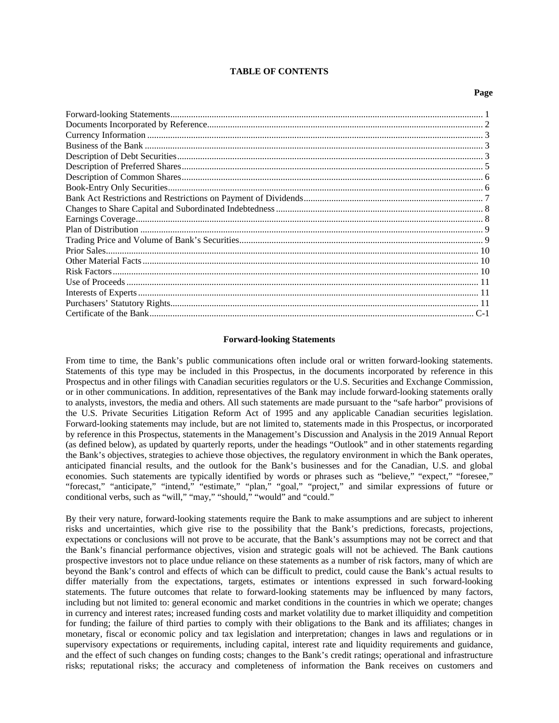## **TABLE OF CONTENTS**

#### **Page**

#### **Forward-looking Statements**

From time to time, the Bank's public communications often include oral or written forward-looking statements. Statements of this type may be included in this Prospectus, in the documents incorporated by reference in this Prospectus and in other filings with Canadian securities regulators or the U.S. Securities and Exchange Commission, or in other communications. In addition, representatives of the Bank may include forward-looking statements orally to analysts, investors, the media and others. All such statements are made pursuant to the "safe harbor" provisions of the U.S. Private Securities Litigation Reform Act of 1995 and any applicable Canadian securities legislation. Forward-looking statements may include, but are not limited to, statements made in this Prospectus, or incorporated by reference in this Prospectus, statements in the Management's Discussion and Analysis in the 2019 Annual Report (as defined below), as updated by quarterly reports, under the headings "Outlook" and in other statements regarding the Bank's objectives, strategies to achieve those objectives, the regulatory environment in which the Bank operates, anticipated financial results, and the outlook for the Bank's businesses and for the Canadian, U.S. and global economies. Such statements are typically identified by words or phrases such as "believe," "expect," "foresee," "forecast," "anticipate," "intend," "estimate," "plan," "goal," "project," and similar expressions of future or conditional verbs, such as "will," "may," "should," "would" and "could."

By their very nature, forward-looking statements require the Bank to make assumptions and are subject to inherent risks and uncertainties, which give rise to the possibility that the Bank's predictions, forecasts, projections, expectations or conclusions will not prove to be accurate, that the Bank's assumptions may not be correct and that the Bank's financial performance objectives, vision and strategic goals will not be achieved. The Bank cautions prospective investors not to place undue reliance on these statements as a number of risk factors, many of which are beyond the Bank's control and effects of which can be difficult to predict, could cause the Bank's actual results to differ materially from the expectations, targets, estimates or intentions expressed in such forward-looking statements. The future outcomes that relate to forward-looking statements may be influenced by many factors, including but not limited to: general economic and market conditions in the countries in which we operate; changes in currency and interest rates; increased funding costs and market volatility due to market illiquidity and competition for funding; the failure of third parties to comply with their obligations to the Bank and its affiliates; changes in monetary, fiscal or economic policy and tax legislation and interpretation; changes in laws and regulations or in supervisory expectations or requirements, including capital, interest rate and liquidity requirements and guidance, and the effect of such changes on funding costs; changes to the Bank's credit ratings; operational and infrastructure risks; reputational risks; the accuracy and completeness of information the Bank receives on customers and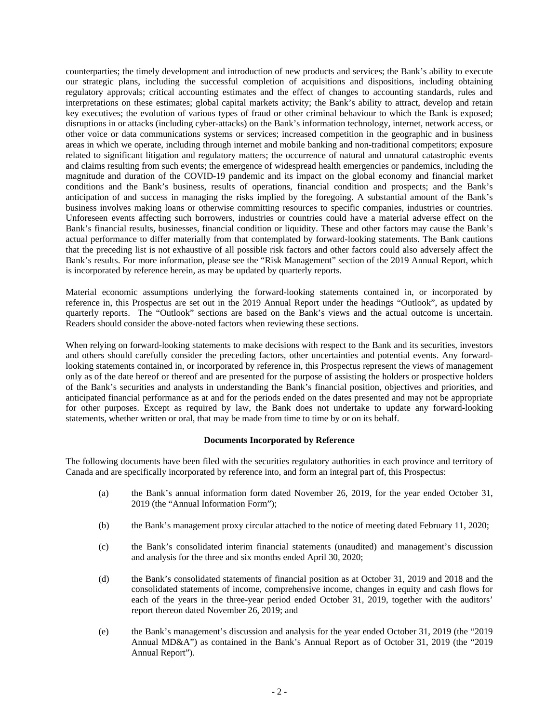counterparties; the timely development and introduction of new products and services; the Bank's ability to execute our strategic plans, including the successful completion of acquisitions and dispositions, including obtaining regulatory approvals; critical accounting estimates and the effect of changes to accounting standards, rules and interpretations on these estimates; global capital markets activity; the Bank's ability to attract, develop and retain key executives; the evolution of various types of fraud or other criminal behaviour to which the Bank is exposed; disruptions in or attacks (including cyber-attacks) on the Bank's information technology, internet, network access, or other voice or data communications systems or services; increased competition in the geographic and in business areas in which we operate, including through internet and mobile banking and non-traditional competitors; exposure related to significant litigation and regulatory matters; the occurrence of natural and unnatural catastrophic events and claims resulting from such events; the emergence of widespread health emergencies or pandemics, including the magnitude and duration of the COVID-19 pandemic and its impact on the global economy and financial market conditions and the Bank's business, results of operations, financial condition and prospects; and the Bank's anticipation of and success in managing the risks implied by the foregoing. A substantial amount of the Bank's business involves making loans or otherwise committing resources to specific companies, industries or countries. Unforeseen events affecting such borrowers, industries or countries could have a material adverse effect on the Bank's financial results, businesses, financial condition or liquidity. These and other factors may cause the Bank's actual performance to differ materially from that contemplated by forward-looking statements. The Bank cautions that the preceding list is not exhaustive of all possible risk factors and other factors could also adversely affect the Bank's results. For more information, please see the "Risk Management" section of the 2019 Annual Report, which is incorporated by reference herein, as may be updated by quarterly reports.

Material economic assumptions underlying the forward-looking statements contained in, or incorporated by reference in, this Prospectus are set out in the 2019 Annual Report under the headings "Outlook", as updated by quarterly reports. The "Outlook" sections are based on the Bank's views and the actual outcome is uncertain. Readers should consider the above-noted factors when reviewing these sections.

When relying on forward-looking statements to make decisions with respect to the Bank and its securities, investors and others should carefully consider the preceding factors, other uncertainties and potential events. Any forwardlooking statements contained in, or incorporated by reference in, this Prospectus represent the views of management only as of the date hereof or thereof and are presented for the purpose of assisting the holders or prospective holders of the Bank's securities and analysts in understanding the Bank's financial position, objectives and priorities, and anticipated financial performance as at and for the periods ended on the dates presented and may not be appropriate for other purposes. Except as required by law, the Bank does not undertake to update any forward-looking statements, whether written or oral, that may be made from time to time by or on its behalf.

# **Documents Incorporated by Reference**

The following documents have been filed with the securities regulatory authorities in each province and territory of Canada and are specifically incorporated by reference into, and form an integral part of, this Prospectus:

- (a) the Bank's annual information form dated November 26, 2019, for the year ended October 31, 2019 (the "Annual Information Form");
- (b) the Bank's management proxy circular attached to the notice of meeting dated February 11, 2020;
- (c) the Bank's consolidated interim financial statements (unaudited) and management's discussion and analysis for the three and six months ended April 30, 2020;
- (d) the Bank's consolidated statements of financial position as at October 31, 2019 and 2018 and the consolidated statements of income, comprehensive income, changes in equity and cash flows for each of the years in the three-year period ended October 31, 2019, together with the auditors' report thereon dated November 26, 2019; and
- (e) the Bank's management's discussion and analysis for the year ended October 31, 2019 (the "2019 Annual MD&A") as contained in the Bank's Annual Report as of October 31, 2019 (the "2019 Annual Report").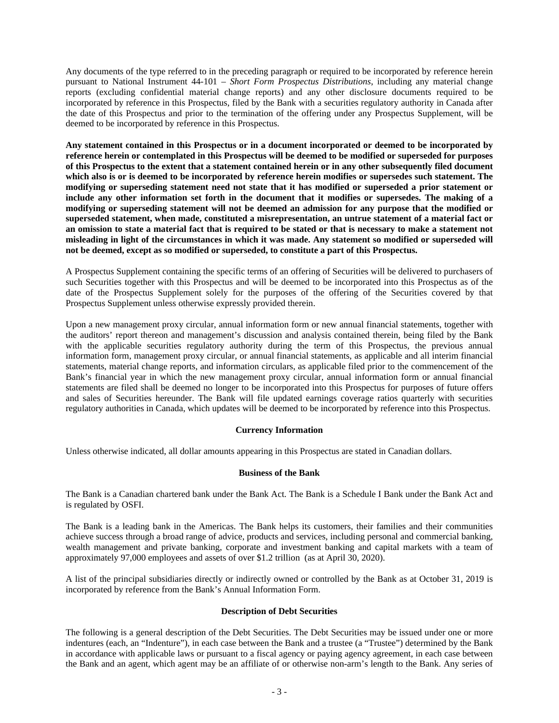Any documents of the type referred to in the preceding paragraph or required to be incorporated by reference herein pursuant to National Instrument 44-101 – *Short Form Prospectus Distributions*, including any material change reports (excluding confidential material change reports) and any other disclosure documents required to be incorporated by reference in this Prospectus, filed by the Bank with a securities regulatory authority in Canada after the date of this Prospectus and prior to the termination of the offering under any Prospectus Supplement, will be deemed to be incorporated by reference in this Prospectus.

**Any statement contained in this Prospectus or in a document incorporated or deemed to be incorporated by reference herein or contemplated in this Prospectus will be deemed to be modified or superseded for purposes of this Prospectus to the extent that a statement contained herein or in any other subsequently filed document which also is or is deemed to be incorporated by reference herein modifies or supersedes such statement. The modifying or superseding statement need not state that it has modified or superseded a prior statement or include any other information set forth in the document that it modifies or supersedes. The making of a modifying or superseding statement will not be deemed an admission for any purpose that the modified or superseded statement, when made, constituted a misrepresentation, an untrue statement of a material fact or an omission to state a material fact that is required to be stated or that is necessary to make a statement not misleading in light of the circumstances in which it was made. Any statement so modified or superseded will not be deemed, except as so modified or superseded, to constitute a part of this Prospectus.** 

A Prospectus Supplement containing the specific terms of an offering of Securities will be delivered to purchasers of such Securities together with this Prospectus and will be deemed to be incorporated into this Prospectus as of the date of the Prospectus Supplement solely for the purposes of the offering of the Securities covered by that Prospectus Supplement unless otherwise expressly provided therein.

Upon a new management proxy circular, annual information form or new annual financial statements, together with the auditors' report thereon and management's discussion and analysis contained therein, being filed by the Bank with the applicable securities regulatory authority during the term of this Prospectus, the previous annual information form, management proxy circular, or annual financial statements, as applicable and all interim financial statements, material change reports, and information circulars, as applicable filed prior to the commencement of the Bank's financial year in which the new management proxy circular, annual information form or annual financial statements are filed shall be deemed no longer to be incorporated into this Prospectus for purposes of future offers and sales of Securities hereunder. The Bank will file updated earnings coverage ratios quarterly with securities regulatory authorities in Canada, which updates will be deemed to be incorporated by reference into this Prospectus.

# **Currency Information**

Unless otherwise indicated, all dollar amounts appearing in this Prospectus are stated in Canadian dollars.

# **Business of the Bank**

The Bank is a Canadian chartered bank under the Bank Act. The Bank is a Schedule I Bank under the Bank Act and is regulated by OSFI.

The Bank is a leading bank in the Americas. The Bank helps its customers, their families and their communities achieve success through a broad range of advice, products and services, including personal and commercial banking, wealth management and private banking, corporate and investment banking and capital markets with a team of approximately 97,000 employees and assets of over \$1.2 trillion (as at April 30, 2020).

A list of the principal subsidiaries directly or indirectly owned or controlled by the Bank as at October 31, 2019 is incorporated by reference from the Bank's Annual Information Form.

# **Description of Debt Securities**

The following is a general description of the Debt Securities. The Debt Securities may be issued under one or more indentures (each, an "Indenture"), in each case between the Bank and a trustee (a "Trustee") determined by the Bank in accordance with applicable laws or pursuant to a fiscal agency or paying agency agreement, in each case between the Bank and an agent, which agent may be an affiliate of or otherwise non-arm's length to the Bank. Any series of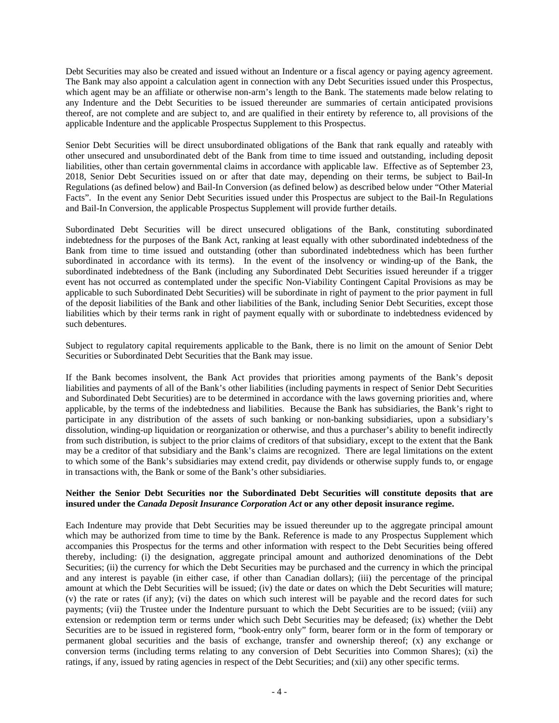Debt Securities may also be created and issued without an Indenture or a fiscal agency or paying agency agreement. The Bank may also appoint a calculation agent in connection with any Debt Securities issued under this Prospectus, which agent may be an affiliate or otherwise non-arm's length to the Bank. The statements made below relating to any Indenture and the Debt Securities to be issued thereunder are summaries of certain anticipated provisions thereof, are not complete and are subject to, and are qualified in their entirety by reference to, all provisions of the applicable Indenture and the applicable Prospectus Supplement to this Prospectus.

Senior Debt Securities will be direct unsubordinated obligations of the Bank that rank equally and rateably with other unsecured and unsubordinated debt of the Bank from time to time issued and outstanding, including deposit liabilities, other than certain governmental claims in accordance with applicable law. Effective as of September 23, 2018, Senior Debt Securities issued on or after that date may, depending on their terms, be subject to Bail-In Regulations (as defined below) and Bail-In Conversion (as defined below) as described below under "Other Material Facts". In the event any Senior Debt Securities issued under this Prospectus are subject to the Bail-In Regulations and Bail-In Conversion, the applicable Prospectus Supplement will provide further details.

Subordinated Debt Securities will be direct unsecured obligations of the Bank, constituting subordinated indebtedness for the purposes of the Bank Act, ranking at least equally with other subordinated indebtedness of the Bank from time to time issued and outstanding (other than subordinated indebtedness which has been further subordinated in accordance with its terms). In the event of the insolvency or winding-up of the Bank, the subordinated indebtedness of the Bank (including any Subordinated Debt Securities issued hereunder if a trigger event has not occurred as contemplated under the specific Non-Viability Contingent Capital Provisions as may be applicable to such Subordinated Debt Securities) will be subordinate in right of payment to the prior payment in full of the deposit liabilities of the Bank and other liabilities of the Bank, including Senior Debt Securities, except those liabilities which by their terms rank in right of payment equally with or subordinate to indebtedness evidenced by such debentures.

Subject to regulatory capital requirements applicable to the Bank, there is no limit on the amount of Senior Debt Securities or Subordinated Debt Securities that the Bank may issue.

If the Bank becomes insolvent, the Bank Act provides that priorities among payments of the Bank's deposit liabilities and payments of all of the Bank's other liabilities (including payments in respect of Senior Debt Securities and Subordinated Debt Securities) are to be determined in accordance with the laws governing priorities and, where applicable, by the terms of the indebtedness and liabilities. Because the Bank has subsidiaries, the Bank's right to participate in any distribution of the assets of such banking or non-banking subsidiaries, upon a subsidiary's dissolution, winding-up liquidation or reorganization or otherwise, and thus a purchaser's ability to benefit indirectly from such distribution, is subject to the prior claims of creditors of that subsidiary, except to the extent that the Bank may be a creditor of that subsidiary and the Bank's claims are recognized. There are legal limitations on the extent to which some of the Bank's subsidiaries may extend credit, pay dividends or otherwise supply funds to, or engage in transactions with, the Bank or some of the Bank's other subsidiaries.

## **Neither the Senior Debt Securities nor the Subordinated Debt Securities will constitute deposits that are insured under the** *Canada Deposit Insurance Corporation Act* **or any other deposit insurance regime.**

Each Indenture may provide that Debt Securities may be issued thereunder up to the aggregate principal amount which may be authorized from time to time by the Bank. Reference is made to any Prospectus Supplement which accompanies this Prospectus for the terms and other information with respect to the Debt Securities being offered thereby, including: (i) the designation, aggregate principal amount and authorized denominations of the Debt Securities; (ii) the currency for which the Debt Securities may be purchased and the currency in which the principal and any interest is payable (in either case, if other than Canadian dollars); (iii) the percentage of the principal amount at which the Debt Securities will be issued; (iv) the date or dates on which the Debt Securities will mature; (v) the rate or rates (if any); (vi) the dates on which such interest will be payable and the record dates for such payments; (vii) the Trustee under the Indenture pursuant to which the Debt Securities are to be issued; (viii) any extension or redemption term or terms under which such Debt Securities may be defeased; (ix) whether the Debt Securities are to be issued in registered form, "book-entry only" form, bearer form or in the form of temporary or permanent global securities and the basis of exchange, transfer and ownership thereof; (x) any exchange or conversion terms (including terms relating to any conversion of Debt Securities into Common Shares); (xi) the ratings, if any, issued by rating agencies in respect of the Debt Securities; and (xii) any other specific terms.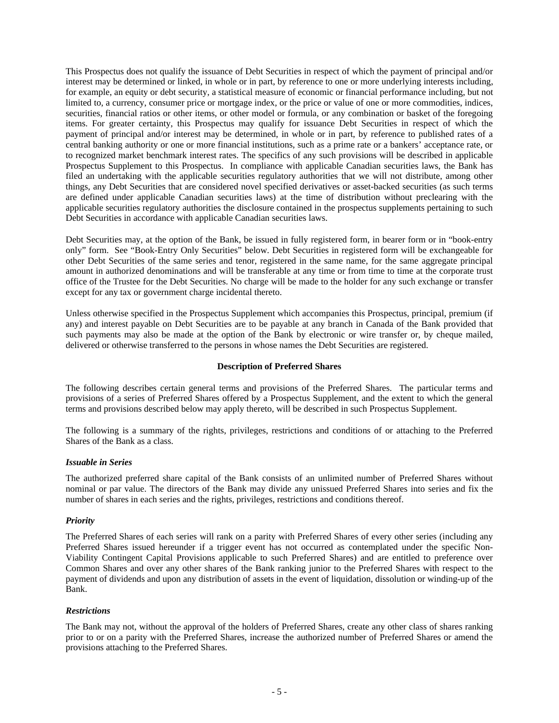This Prospectus does not qualify the issuance of Debt Securities in respect of which the payment of principal and/or interest may be determined or linked, in whole or in part, by reference to one or more underlying interests including, for example, an equity or debt security, a statistical measure of economic or financial performance including, but not limited to, a currency, consumer price or mortgage index, or the price or value of one or more commodities, indices, securities, financial ratios or other items, or other model or formula, or any combination or basket of the foregoing items. For greater certainty, this Prospectus may qualify for issuance Debt Securities in respect of which the payment of principal and/or interest may be determined, in whole or in part, by reference to published rates of a central banking authority or one or more financial institutions, such as a prime rate or a bankers' acceptance rate, or to recognized market benchmark interest rates. The specifics of any such provisions will be described in applicable Prospectus Supplement to this Prospectus. In compliance with applicable Canadian securities laws, the Bank has filed an undertaking with the applicable securities regulatory authorities that we will not distribute, among other things, any Debt Securities that are considered novel specified derivatives or asset-backed securities (as such terms are defined under applicable Canadian securities laws) at the time of distribution without preclearing with the applicable securities regulatory authorities the disclosure contained in the prospectus supplements pertaining to such Debt Securities in accordance with applicable Canadian securities laws.

Debt Securities may, at the option of the Bank, be issued in fully registered form, in bearer form or in "book-entry only" form. See "Book-Entry Only Securities" below. Debt Securities in registered form will be exchangeable for other Debt Securities of the same series and tenor, registered in the same name, for the same aggregate principal amount in authorized denominations and will be transferable at any time or from time to time at the corporate trust office of the Trustee for the Debt Securities. No charge will be made to the holder for any such exchange or transfer except for any tax or government charge incidental thereto.

Unless otherwise specified in the Prospectus Supplement which accompanies this Prospectus, principal, premium (if any) and interest payable on Debt Securities are to be payable at any branch in Canada of the Bank provided that such payments may also be made at the option of the Bank by electronic or wire transfer or, by cheque mailed, delivered or otherwise transferred to the persons in whose names the Debt Securities are registered.

# **Description of Preferred Shares**

The following describes certain general terms and provisions of the Preferred Shares. The particular terms and provisions of a series of Preferred Shares offered by a Prospectus Supplement, and the extent to which the general terms and provisions described below may apply thereto, will be described in such Prospectus Supplement.

The following is a summary of the rights, privileges, restrictions and conditions of or attaching to the Preferred Shares of the Bank as a class.

### *Issuable in Series*

The authorized preferred share capital of the Bank consists of an unlimited number of Preferred Shares without nominal or par value. The directors of the Bank may divide any unissued Preferred Shares into series and fix the number of shares in each series and the rights, privileges, restrictions and conditions thereof.

### *Priority*

The Preferred Shares of each series will rank on a parity with Preferred Shares of every other series (including any Preferred Shares issued hereunder if a trigger event has not occurred as contemplated under the specific Non-Viability Contingent Capital Provisions applicable to such Preferred Shares) and are entitled to preference over Common Shares and over any other shares of the Bank ranking junior to the Preferred Shares with respect to the payment of dividends and upon any distribution of assets in the event of liquidation, dissolution or winding-up of the Bank.

### *Restrictions*

The Bank may not, without the approval of the holders of Preferred Shares, create any other class of shares ranking prior to or on a parity with the Preferred Shares, increase the authorized number of Preferred Shares or amend the provisions attaching to the Preferred Shares.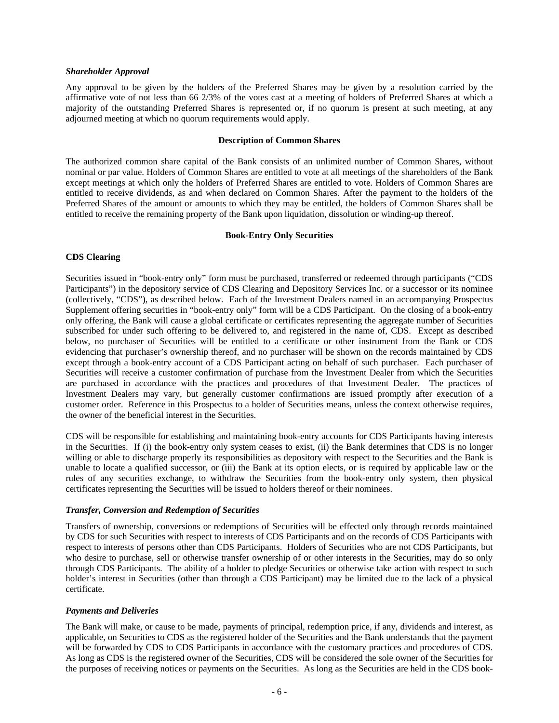#### *Shareholder Approval*

Any approval to be given by the holders of the Preferred Shares may be given by a resolution carried by the affirmative vote of not less than 66 2/3% of the votes cast at a meeting of holders of Preferred Shares at which a majority of the outstanding Preferred Shares is represented or, if no quorum is present at such meeting, at any adjourned meeting at which no quorum requirements would apply.

### **Description of Common Shares**

The authorized common share capital of the Bank consists of an unlimited number of Common Shares, without nominal or par value. Holders of Common Shares are entitled to vote at all meetings of the shareholders of the Bank except meetings at which only the holders of Preferred Shares are entitled to vote. Holders of Common Shares are entitled to receive dividends, as and when declared on Common Shares. After the payment to the holders of the Preferred Shares of the amount or amounts to which they may be entitled, the holders of Common Shares shall be entitled to receive the remaining property of the Bank upon liquidation, dissolution or winding-up thereof.

## **Book-Entry Only Securities**

### **CDS Clearing**

Securities issued in "book-entry only" form must be purchased, transferred or redeemed through participants ("CDS Participants") in the depository service of CDS Clearing and Depository Services Inc. or a successor or its nominee (collectively, "CDS"), as described below. Each of the Investment Dealers named in an accompanying Prospectus Supplement offering securities in "book-entry only" form will be a CDS Participant. On the closing of a book-entry only offering, the Bank will cause a global certificate or certificates representing the aggregate number of Securities subscribed for under such offering to be delivered to, and registered in the name of, CDS. Except as described below, no purchaser of Securities will be entitled to a certificate or other instrument from the Bank or CDS evidencing that purchaser's ownership thereof, and no purchaser will be shown on the records maintained by CDS except through a book-entry account of a CDS Participant acting on behalf of such purchaser. Each purchaser of Securities will receive a customer confirmation of purchase from the Investment Dealer from which the Securities are purchased in accordance with the practices and procedures of that Investment Dealer. The practices of Investment Dealers may vary, but generally customer confirmations are issued promptly after execution of a customer order. Reference in this Prospectus to a holder of Securities means, unless the context otherwise requires, the owner of the beneficial interest in the Securities.

CDS will be responsible for establishing and maintaining book-entry accounts for CDS Participants having interests in the Securities. If (i) the book-entry only system ceases to exist, (ii) the Bank determines that CDS is no longer willing or able to discharge properly its responsibilities as depository with respect to the Securities and the Bank is unable to locate a qualified successor, or (iii) the Bank at its option elects, or is required by applicable law or the rules of any securities exchange, to withdraw the Securities from the book-entry only system, then physical certificates representing the Securities will be issued to holders thereof or their nominees.

### *Transfer, Conversion and Redemption of Securities*

Transfers of ownership, conversions or redemptions of Securities will be effected only through records maintained by CDS for such Securities with respect to interests of CDS Participants and on the records of CDS Participants with respect to interests of persons other than CDS Participants. Holders of Securities who are not CDS Participants, but who desire to purchase, sell or otherwise transfer ownership of or other interests in the Securities, may do so only through CDS Participants. The ability of a holder to pledge Securities or otherwise take action with respect to such holder's interest in Securities (other than through a CDS Participant) may be limited due to the lack of a physical certificate.

### *Payments and Deliveries*

The Bank will make, or cause to be made, payments of principal, redemption price, if any, dividends and interest, as applicable, on Securities to CDS as the registered holder of the Securities and the Bank understands that the payment will be forwarded by CDS to CDS Participants in accordance with the customary practices and procedures of CDS. As long as CDS is the registered owner of the Securities, CDS will be considered the sole owner of the Securities for the purposes of receiving notices or payments on the Securities. As long as the Securities are held in the CDS book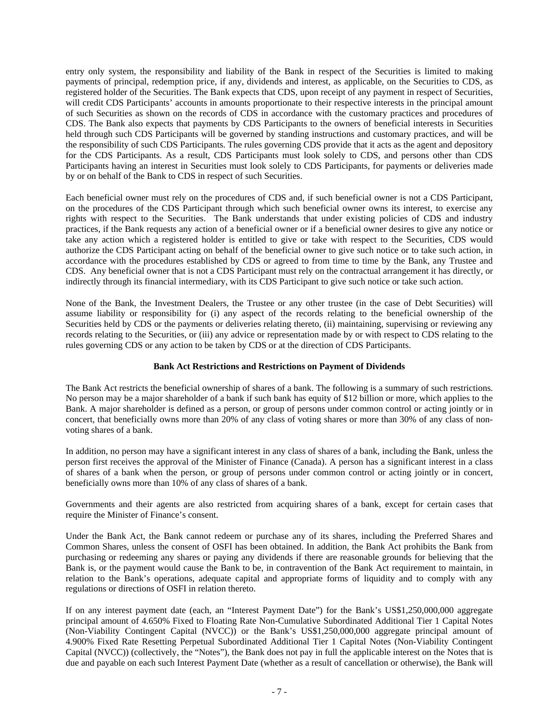entry only system, the responsibility and liability of the Bank in respect of the Securities is limited to making payments of principal, redemption price, if any, dividends and interest, as applicable, on the Securities to CDS, as registered holder of the Securities. The Bank expects that CDS, upon receipt of any payment in respect of Securities, will credit CDS Participants' accounts in amounts proportionate to their respective interests in the principal amount of such Securities as shown on the records of CDS in accordance with the customary practices and procedures of CDS. The Bank also expects that payments by CDS Participants to the owners of beneficial interests in Securities held through such CDS Participants will be governed by standing instructions and customary practices, and will be the responsibility of such CDS Participants. The rules governing CDS provide that it acts as the agent and depository for the CDS Participants. As a result, CDS Participants must look solely to CDS, and persons other than CDS Participants having an interest in Securities must look solely to CDS Participants, for payments or deliveries made by or on behalf of the Bank to CDS in respect of such Securities.

Each beneficial owner must rely on the procedures of CDS and, if such beneficial owner is not a CDS Participant, on the procedures of the CDS Participant through which such beneficial owner owns its interest, to exercise any rights with respect to the Securities. The Bank understands that under existing policies of CDS and industry practices, if the Bank requests any action of a beneficial owner or if a beneficial owner desires to give any notice or take any action which a registered holder is entitled to give or take with respect to the Securities, CDS would authorize the CDS Participant acting on behalf of the beneficial owner to give such notice or to take such action, in accordance with the procedures established by CDS or agreed to from time to time by the Bank, any Trustee and CDS. Any beneficial owner that is not a CDS Participant must rely on the contractual arrangement it has directly, or indirectly through its financial intermediary, with its CDS Participant to give such notice or take such action.

None of the Bank, the Investment Dealers, the Trustee or any other trustee (in the case of Debt Securities) will assume liability or responsibility for (i) any aspect of the records relating to the beneficial ownership of the Securities held by CDS or the payments or deliveries relating thereto, (ii) maintaining, supervising or reviewing any records relating to the Securities, or (iii) any advice or representation made by or with respect to CDS relating to the rules governing CDS or any action to be taken by CDS or at the direction of CDS Participants.

# **Bank Act Restrictions and Restrictions on Payment of Dividends**

The Bank Act restricts the beneficial ownership of shares of a bank. The following is a summary of such restrictions. No person may be a major shareholder of a bank if such bank has equity of \$12 billion or more, which applies to the Bank. A major shareholder is defined as a person, or group of persons under common control or acting jointly or in concert, that beneficially owns more than 20% of any class of voting shares or more than 30% of any class of nonvoting shares of a bank.

In addition, no person may have a significant interest in any class of shares of a bank, including the Bank, unless the person first receives the approval of the Minister of Finance (Canada). A person has a significant interest in a class of shares of a bank when the person, or group of persons under common control or acting jointly or in concert, beneficially owns more than 10% of any class of shares of a bank.

Governments and their agents are also restricted from acquiring shares of a bank, except for certain cases that require the Minister of Finance's consent.

Under the Bank Act, the Bank cannot redeem or purchase any of its shares, including the Preferred Shares and Common Shares, unless the consent of OSFI has been obtained. In addition, the Bank Act prohibits the Bank from purchasing or redeeming any shares or paying any dividends if there are reasonable grounds for believing that the Bank is, or the payment would cause the Bank to be, in contravention of the Bank Act requirement to maintain, in relation to the Bank's operations, adequate capital and appropriate forms of liquidity and to comply with any regulations or directions of OSFI in relation thereto.

If on any interest payment date (each, an "Interest Payment Date") for the Bank's US\$1,250,000,000 aggregate principal amount of 4.650% Fixed to Floating Rate Non-Cumulative Subordinated Additional Tier 1 Capital Notes (Non-Viability Contingent Capital (NVCC)) or the Bank's US\$1,250,000,000 aggregate principal amount of 4.900% Fixed Rate Resetting Perpetual Subordinated Additional Tier 1 Capital Notes (Non-Viability Contingent Capital (NVCC)) (collectively, the "Notes"), the Bank does not pay in full the applicable interest on the Notes that is due and payable on each such Interest Payment Date (whether as a result of cancellation or otherwise), the Bank will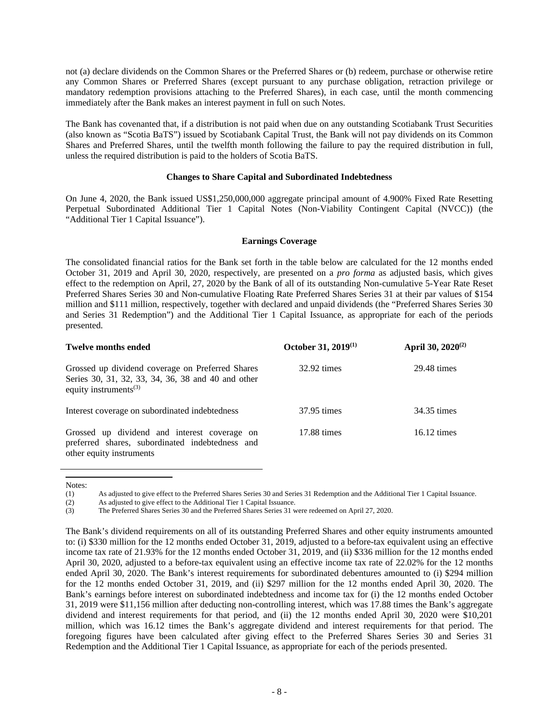not (a) declare dividends on the Common Shares or the Preferred Shares or (b) redeem, purchase or otherwise retire any Common Shares or Preferred Shares (except pursuant to any purchase obligation, retraction privilege or mandatory redemption provisions attaching to the Preferred Shares), in each case, until the month commencing immediately after the Bank makes an interest payment in full on such Notes.

The Bank has covenanted that, if a distribution is not paid when due on any outstanding Scotiabank Trust Securities (also known as "Scotia BaTS") issued by Scotiabank Capital Trust, the Bank will not pay dividends on its Common Shares and Preferred Shares, until the twelfth month following the failure to pay the required distribution in full, unless the required distribution is paid to the holders of Scotia BaTS.

## **Changes to Share Capital and Subordinated Indebtedness**

On June 4, 2020, the Bank issued US\$1,250,000,000 aggregate principal amount of 4.900% Fixed Rate Resetting Perpetual Subordinated Additional Tier 1 Capital Notes (Non-Viability Contingent Capital (NVCC)) (the "Additional Tier 1 Capital Issuance").

## **Earnings Coverage**

The consolidated financial ratios for the Bank set forth in the table below are calculated for the 12 months ended October 31, 2019 and April 30, 2020, respectively, are presented on a *pro forma* as adjusted basis, which gives effect to the redemption on April, 27, 2020 by the Bank of all of its outstanding Non-cumulative 5-Year Rate Reset Preferred Shares Series 30 and Non-cumulative Floating Rate Preferred Shares Series 31 at their par values of \$154 million and \$111 million, respectively, together with declared and unpaid dividends (the "Preferred Shares Series 30 and Series 31 Redemption") and the Additional Tier 1 Capital Issuance, as appropriate for each of the periods presented.

| <b>Twelve months ended</b>                                                                                                         | October 31, 2019 <sup>(1)</sup> | April 30, 2020 <sup>(2)</sup> |
|------------------------------------------------------------------------------------------------------------------------------------|---------------------------------|-------------------------------|
| Grossed up dividend coverage on Preferred Shares<br>Series 30, 31, 32, 33, 34, 36, 38 and 40 and other<br>equity instruments $(3)$ | 32.92 times                     | 29.48 times                   |
| Interest coverage on subordinated indebtedness                                                                                     | 37.95 times                     | 34.35 times                   |
| Grossed up dividend and interest coverage on<br>preferred shares, subordinated indebtedness and<br>other equity instruments        | 17.88 times                     | $16.12 \text{ times}$         |

Notes:

(2) As adjusted to give effect to the Additional Tier 1 Capital Issuance.

<sup>(1)</sup> As adjusted to give effect to the Preferred Shares Series 30 and Series 31 Redemption and the Additional Tier 1 Capital Issuance.

<sup>(3)</sup> The Preferred Shares Series 30 and the Preferred Shares Series 31 were redeemed on April 27, 2020.

The Bank's dividend requirements on all of its outstanding Preferred Shares and other equity instruments amounted to: (i) \$330 million for the 12 months ended October 31, 2019, adjusted to a before-tax equivalent using an effective income tax rate of 21.93% for the 12 months ended October 31, 2019, and (ii) \$336 million for the 12 months ended April 30, 2020, adjusted to a before-tax equivalent using an effective income tax rate of 22.02% for the 12 months ended April 30, 2020. The Bank's interest requirements for subordinated debentures amounted to (i) \$294 million for the 12 months ended October 31, 2019, and (ii) \$297 million for the 12 months ended April 30, 2020. The Bank's earnings before interest on subordinated indebtedness and income tax for (i) the 12 months ended October 31, 2019 were \$11,156 million after deducting non-controlling interest, which was 17.88 times the Bank's aggregate dividend and interest requirements for that period, and (ii) the 12 months ended April 30, 2020 were \$10,201 million, which was 16.12 times the Bank's aggregate dividend and interest requirements for that period. The foregoing figures have been calculated after giving effect to the Preferred Shares Series 30 and Series 31 Redemption and the Additional Tier 1 Capital Issuance, as appropriate for each of the periods presented.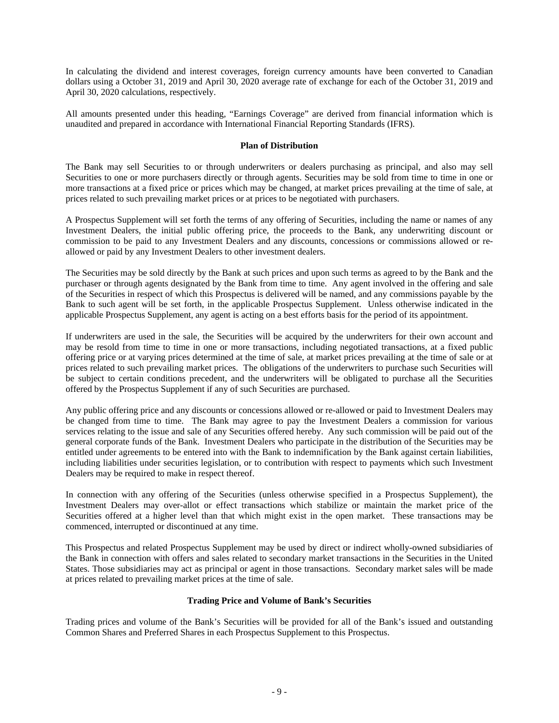In calculating the dividend and interest coverages, foreign currency amounts have been converted to Canadian dollars using a October 31, 2019 and April 30, 2020 average rate of exchange for each of the October 31, 2019 and April 30, 2020 calculations, respectively.

All amounts presented under this heading, "Earnings Coverage" are derived from financial information which is unaudited and prepared in accordance with International Financial Reporting Standards (IFRS).

# **Plan of Distribution**

The Bank may sell Securities to or through underwriters or dealers purchasing as principal, and also may sell Securities to one or more purchasers directly or through agents. Securities may be sold from time to time in one or more transactions at a fixed price or prices which may be changed, at market prices prevailing at the time of sale, at prices related to such prevailing market prices or at prices to be negotiated with purchasers.

A Prospectus Supplement will set forth the terms of any offering of Securities, including the name or names of any Investment Dealers, the initial public offering price, the proceeds to the Bank, any underwriting discount or commission to be paid to any Investment Dealers and any discounts, concessions or commissions allowed or reallowed or paid by any Investment Dealers to other investment dealers.

The Securities may be sold directly by the Bank at such prices and upon such terms as agreed to by the Bank and the purchaser or through agents designated by the Bank from time to time. Any agent involved in the offering and sale of the Securities in respect of which this Prospectus is delivered will be named, and any commissions payable by the Bank to such agent will be set forth, in the applicable Prospectus Supplement. Unless otherwise indicated in the applicable Prospectus Supplement, any agent is acting on a best efforts basis for the period of its appointment.

If underwriters are used in the sale, the Securities will be acquired by the underwriters for their own account and may be resold from time to time in one or more transactions, including negotiated transactions, at a fixed public offering price or at varying prices determined at the time of sale, at market prices prevailing at the time of sale or at prices related to such prevailing market prices. The obligations of the underwriters to purchase such Securities will be subject to certain conditions precedent, and the underwriters will be obligated to purchase all the Securities offered by the Prospectus Supplement if any of such Securities are purchased.

Any public offering price and any discounts or concessions allowed or re-allowed or paid to Investment Dealers may be changed from time to time. The Bank may agree to pay the Investment Dealers a commission for various services relating to the issue and sale of any Securities offered hereby. Any such commission will be paid out of the general corporate funds of the Bank. Investment Dealers who participate in the distribution of the Securities may be entitled under agreements to be entered into with the Bank to indemnification by the Bank against certain liabilities, including liabilities under securities legislation, or to contribution with respect to payments which such Investment Dealers may be required to make in respect thereof.

In connection with any offering of the Securities (unless otherwise specified in a Prospectus Supplement), the Investment Dealers may over-allot or effect transactions which stabilize or maintain the market price of the Securities offered at a higher level than that which might exist in the open market. These transactions may be commenced, interrupted or discontinued at any time.

This Prospectus and related Prospectus Supplement may be used by direct or indirect wholly-owned subsidiaries of the Bank in connection with offers and sales related to secondary market transactions in the Securities in the United States. Those subsidiaries may act as principal or agent in those transactions. Secondary market sales will be made at prices related to prevailing market prices at the time of sale.

### **Trading Price and Volume of Bank's Securities**

Trading prices and volume of the Bank's Securities will be provided for all of the Bank's issued and outstanding Common Shares and Preferred Shares in each Prospectus Supplement to this Prospectus.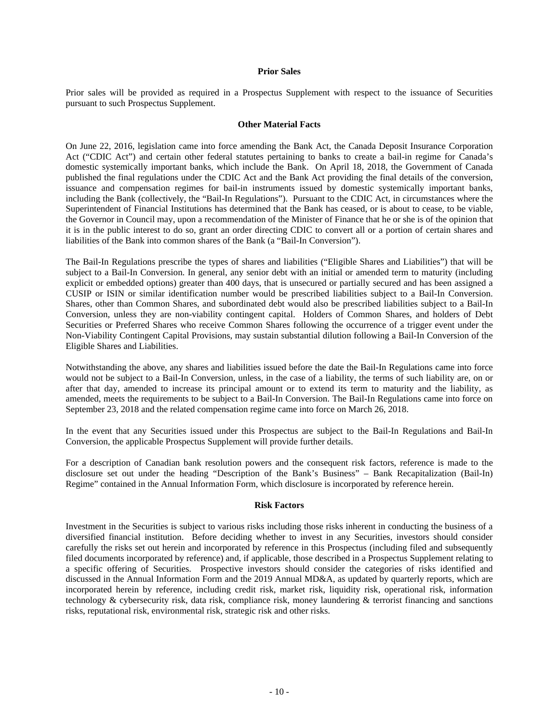## **Prior Sales**

Prior sales will be provided as required in a Prospectus Supplement with respect to the issuance of Securities pursuant to such Prospectus Supplement.

#### **Other Material Facts**

On June 22, 2016, legislation came into force amending the Bank Act, the Canada Deposit Insurance Corporation Act ("CDIC Act") and certain other federal statutes pertaining to banks to create a bail-in regime for Canada's domestic systemically important banks, which include the Bank. On April 18, 2018, the Government of Canada published the final regulations under the CDIC Act and the Bank Act providing the final details of the conversion, issuance and compensation regimes for bail-in instruments issued by domestic systemically important banks, including the Bank (collectively, the "Bail-In Regulations"). Pursuant to the CDIC Act, in circumstances where the Superintendent of Financial Institutions has determined that the Bank has ceased, or is about to cease, to be viable, the Governor in Council may, upon a recommendation of the Minister of Finance that he or she is of the opinion that it is in the public interest to do so, grant an order directing CDIC to convert all or a portion of certain shares and liabilities of the Bank into common shares of the Bank (a "Bail-In Conversion").

The Bail-In Regulations prescribe the types of shares and liabilities ("Eligible Shares and Liabilities") that will be subject to a Bail-In Conversion. In general, any senior debt with an initial or amended term to maturity (including explicit or embedded options) greater than 400 days, that is unsecured or partially secured and has been assigned a CUSIP or ISIN or similar identification number would be prescribed liabilities subject to a Bail-In Conversion. Shares, other than Common Shares, and subordinated debt would also be prescribed liabilities subject to a Bail-In Conversion, unless they are non-viability contingent capital. Holders of Common Shares, and holders of Debt Securities or Preferred Shares who receive Common Shares following the occurrence of a trigger event under the Non-Viability Contingent Capital Provisions, may sustain substantial dilution following a Bail-In Conversion of the Eligible Shares and Liabilities.

Notwithstanding the above, any shares and liabilities issued before the date the Bail-In Regulations came into force would not be subject to a Bail-In Conversion, unless, in the case of a liability, the terms of such liability are, on or after that day, amended to increase its principal amount or to extend its term to maturity and the liability, as amended, meets the requirements to be subject to a Bail-In Conversion. The Bail-In Regulations came into force on September 23, 2018 and the related compensation regime came into force on March 26, 2018.

In the event that any Securities issued under this Prospectus are subject to the Bail-In Regulations and Bail-In Conversion, the applicable Prospectus Supplement will provide further details.

For a description of Canadian bank resolution powers and the consequent risk factors, reference is made to the disclosure set out under the heading "Description of the Bank's Business" – Bank Recapitalization (Bail-In) Regime" contained in the Annual Information Form, which disclosure is incorporated by reference herein.

## **Risk Factors**

Investment in the Securities is subject to various risks including those risks inherent in conducting the business of a diversified financial institution. Before deciding whether to invest in any Securities, investors should consider carefully the risks set out herein and incorporated by reference in this Prospectus (including filed and subsequently filed documents incorporated by reference) and, if applicable, those described in a Prospectus Supplement relating to a specific offering of Securities. Prospective investors should consider the categories of risks identified and discussed in the Annual Information Form and the 2019 Annual MD&A, as updated by quarterly reports, which are incorporated herein by reference, including credit risk, market risk, liquidity risk, operational risk, information technology & cybersecurity risk, data risk, compliance risk, money laundering & terrorist financing and sanctions risks, reputational risk, environmental risk, strategic risk and other risks.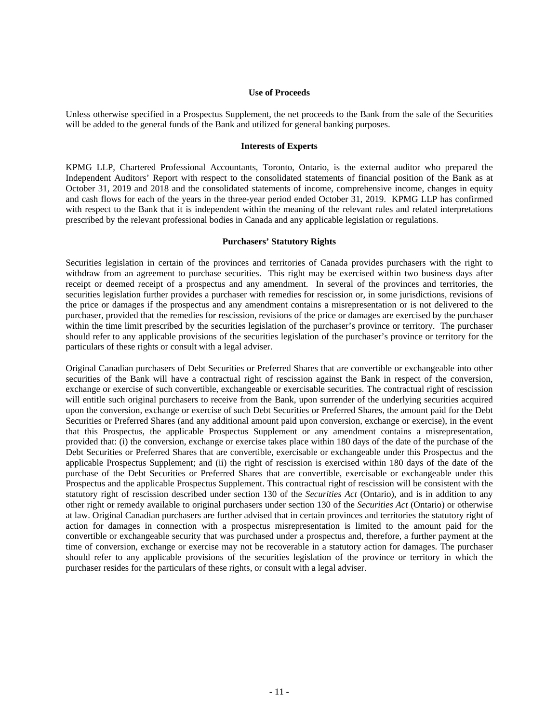#### **Use of Proceeds**

Unless otherwise specified in a Prospectus Supplement, the net proceeds to the Bank from the sale of the Securities will be added to the general funds of the Bank and utilized for general banking purposes.

#### **Interests of Experts**

KPMG LLP, Chartered Professional Accountants, Toronto, Ontario, is the external auditor who prepared the Independent Auditors' Report with respect to the consolidated statements of financial position of the Bank as at October 31, 2019 and 2018 and the consolidated statements of income, comprehensive income, changes in equity and cash flows for each of the years in the three-year period ended October 31, 2019. KPMG LLP has confirmed with respect to the Bank that it is independent within the meaning of the relevant rules and related interpretations prescribed by the relevant professional bodies in Canada and any applicable legislation or regulations.

## **Purchasers' Statutory Rights**

Securities legislation in certain of the provinces and territories of Canada provides purchasers with the right to withdraw from an agreement to purchase securities. This right may be exercised within two business days after receipt or deemed receipt of a prospectus and any amendment. In several of the provinces and territories, the securities legislation further provides a purchaser with remedies for rescission or, in some jurisdictions, revisions of the price or damages if the prospectus and any amendment contains a misrepresentation or is not delivered to the purchaser, provided that the remedies for rescission, revisions of the price or damages are exercised by the purchaser within the time limit prescribed by the securities legislation of the purchaser's province or territory. The purchaser should refer to any applicable provisions of the securities legislation of the purchaser's province or territory for the particulars of these rights or consult with a legal adviser.

Original Canadian purchasers of Debt Securities or Preferred Shares that are convertible or exchangeable into other securities of the Bank will have a contractual right of rescission against the Bank in respect of the conversion, exchange or exercise of such convertible, exchangeable or exercisable securities. The contractual right of rescission will entitle such original purchasers to receive from the Bank, upon surrender of the underlying securities acquired upon the conversion, exchange or exercise of such Debt Securities or Preferred Shares, the amount paid for the Debt Securities or Preferred Shares (and any additional amount paid upon conversion, exchange or exercise), in the event that this Prospectus, the applicable Prospectus Supplement or any amendment contains a misrepresentation, provided that: (i) the conversion, exchange or exercise takes place within 180 days of the date of the purchase of the Debt Securities or Preferred Shares that are convertible, exercisable or exchangeable under this Prospectus and the applicable Prospectus Supplement; and (ii) the right of rescission is exercised within 180 days of the date of the purchase of the Debt Securities or Preferred Shares that are convertible, exercisable or exchangeable under this Prospectus and the applicable Prospectus Supplement. This contractual right of rescission will be consistent with the statutory right of rescission described under section 130 of the *Securities Act* (Ontario), and is in addition to any other right or remedy available to original purchasers under section 130 of the *Securities Act* (Ontario) or otherwise at law. Original Canadian purchasers are further advised that in certain provinces and territories the statutory right of action for damages in connection with a prospectus misrepresentation is limited to the amount paid for the convertible or exchangeable security that was purchased under a prospectus and, therefore, a further payment at the time of conversion, exchange or exercise may not be recoverable in a statutory action for damages. The purchaser should refer to any applicable provisions of the securities legislation of the province or territory in which the purchaser resides for the particulars of these rights, or consult with a legal adviser.